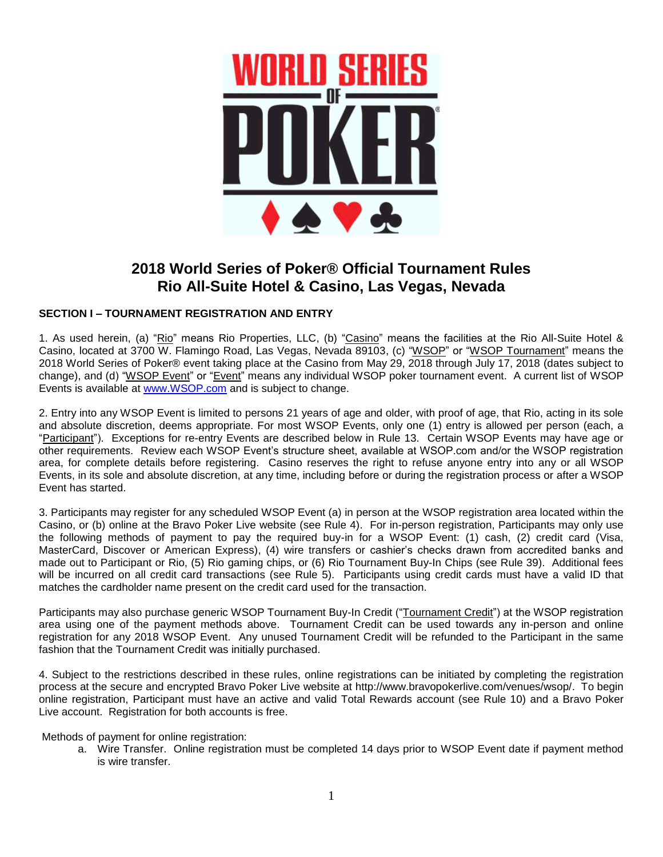

# **2018 World Series of Poker® Official Tournament Rules Rio All-Suite Hotel & Casino, Las Vegas, Nevada**

# **SECTION I – TOURNAMENT REGISTRATION AND ENTRY**

1. As used herein, (a) "Rio" means Rio Properties, LLC, (b) "Casino" means the facilities at the Rio All-Suite Hotel & Casino, located at 3700 W. Flamingo Road, Las Vegas, Nevada 89103, (c) "WSOP" or "WSOP Tournament" means the 2018 World Series of Poker® event taking place at the Casino from May 29, 2018 through July 17, 2018 (dates subject to change), and (d) "WSOP Event" or "Event" means any individual WSOP poker tournament event. A current list of WSOP Events is available at [www.WSOP.com](http://www.wsop.com/) and is subject to change.

2. Entry into any WSOP Event is limited to persons 21 years of age and older, with proof of age, that Rio, acting in its sole and absolute discretion, deems appropriate. For most WSOP Events, only one (1) entry is allowed per person (each, a "Participant"). Exceptions for re-entry Events are described below in Rule 13. Certain WSOP Events may have age or other requirements. Review each WSOP Event's structure sheet, available at WSOP.com and/or the WSOP registration area, for complete details before registering. Casino reserves the right to refuse anyone entry into any or all WSOP Events, in its sole and absolute discretion, at any time, including before or during the registration process or after a WSOP Event has started.

3. Participants may register for any scheduled WSOP Event (a) in person at the WSOP registration area located within the Casino, or (b) online at the Bravo Poker Live website (see Rule 4). For in-person registration, Participants may only use the following methods of payment to pay the required buy-in for a WSOP Event: (1) cash, (2) credit card (Visa, MasterCard, Discover or American Express), (4) wire transfers or cashier's checks drawn from accredited banks and made out to Participant or Rio, (5) Rio gaming chips, or (6) Rio Tournament Buy-In Chips (see Rule 39). Additional fees will be incurred on all credit card transactions (see Rule 5). Participants using credit cards must have a valid ID that matches the cardholder name present on the credit card used for the transaction.

Participants may also purchase generic WSOP Tournament Buy-In Credit ("Tournament Credit") at the WSOP registration area using one of the payment methods above. Tournament Credit can be used towards any in-person and online registration for any 2018 WSOP Event. Any unused Tournament Credit will be refunded to the Participant in the same fashion that the Tournament Credit was initially purchased.

4. Subject to the restrictions described in these rules, online registrations can be initiated by completing the registration process at the secure and encrypted Bravo Poker Live website at [http://www.bravopokerlive.com/venues/wsop/.](http://www.bravopokerlive.com/venues/wsop/) To begin online registration, Participant must have an active and valid Total Rewards account (see Rule 10) and a Bravo Poker Live account. Registration for both accounts is free.

Methods of payment for online registration:

a. Wire Transfer. Online registration must be completed 14 days prior to WSOP Event date if payment method is wire transfer.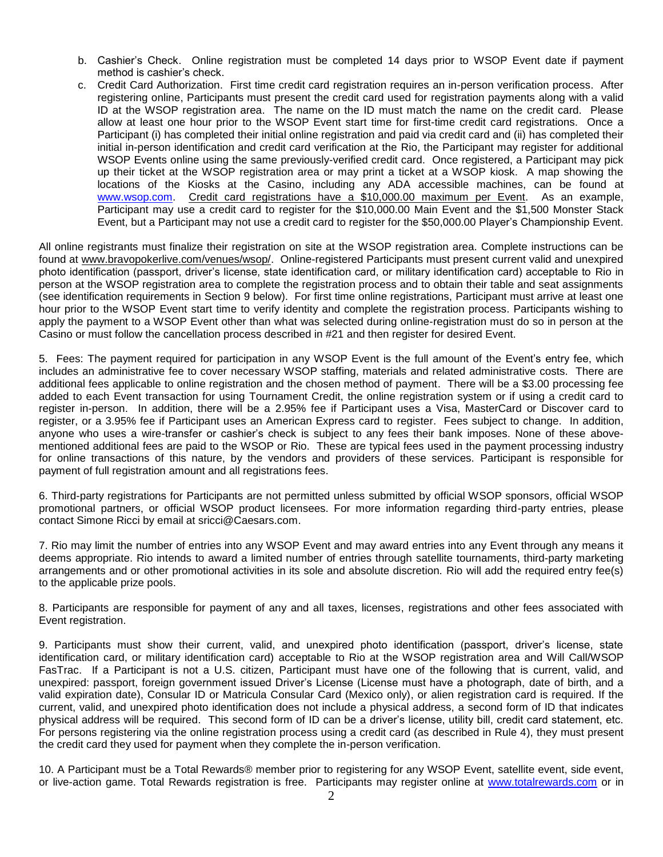- b. Cashier's Check. Online registration must be completed 14 days prior to WSOP Event date if payment method is cashier's check.
- c. Credit Card Authorization. First time credit card registration requires an in-person verification process. After registering online, Participants must present the credit card used for registration payments along with a valid ID at the WSOP registration area. The name on the ID must match the name on the credit card. Please allow at least one hour prior to the WSOP Event start time for first-time credit card registrations. Once a Participant (i) has completed their initial online registration and paid via credit card and (ii) has completed their initial in-person identification and credit card verification at the Rio, the Participant may register for additional WSOP Events online using the same previously-verified credit card. Once registered, a Participant may pick up their ticket at the WSOP registration area or may print a ticket at a WSOP kiosk. A map showing the locations of the Kiosks at the Casino, including any ADA accessible machines, can be found at [www.wsop.com.](http://www.wsop.com/) Credit card registrations have a \$10,000.00 maximum per Event. As an example, Participant may use a credit card to register for the \$10,000.00 Main Event and the \$1,500 Monster Stack Event, but a Participant may not use a credit card to register for the \$50,000.00 Player's Championship Event.

All online registrants must finalize their registration on site at the WSOP registration area. Complete instructions can be found at [www.bravopokerlive.com/venues/wsop/.](http://www.bravopokerlive.com/venues/wsop/) Online-registered Participants must present current valid and unexpired photo identification (passport, driver's license, state identification card, or military identification card) acceptable to Rio in person at the WSOP registration area to complete the registration process and to obtain their table and seat assignments (see identification requirements in Section 9 below). For first time online registrations, Participant must arrive at least one hour prior to the WSOP Event start time to verify identity and complete the registration process. Participants wishing to apply the payment to a WSOP Event other than what was selected during online-registration must do so in person at the Casino or must follow the cancellation process described in #21 and then register for desired Event.

5. Fees: The payment required for participation in any WSOP Event is the full amount of the Event's entry fee, which includes an administrative fee to cover necessary WSOP staffing, materials and related administrative costs. There are additional fees applicable to online registration and the chosen method of payment. There will be a \$3.00 processing fee added to each Event transaction for using Tournament Credit, the online registration system or if using a credit card to register in-person. In addition, there will be a 2.95% fee if Participant uses a Visa, MasterCard or Discover card to register, or a 3.95% fee if Participant uses an American Express card to register. Fees subject to change. In addition, anyone who uses a wire-transfer or cashier's check is subject to any fees their bank imposes. None of these abovementioned additional fees are paid to the WSOP or Rio. These are typical fees used in the payment processing industry for online transactions of this nature, by the vendors and providers of these services. Participant is responsible for payment of full registration amount and all registrations fees.

6. Third-party registrations for Participants are not permitted unless submitted by official WSOP sponsors, official WSOP promotional partners, or official WSOP product licensees. For more information regarding third-party entries, please contact Simone Ricci by email at sricci@Caesars.com.

7. Rio may limit the number of entries into any WSOP Event and may award entries into any Event through any means it deems appropriate. Rio intends to award a limited number of entries through satellite tournaments, third-party marketing arrangements and or other promotional activities in its sole and absolute discretion. Rio will add the required entry fee(s) to the applicable prize pools.

8. Participants are responsible for payment of any and all taxes, licenses, registrations and other fees associated with Event registration.

9. Participants must show their current, valid, and unexpired photo identification (passport, driver's license, state identification card, or military identification card) acceptable to Rio at the WSOP registration area and Will Call/WSOP FasTrac. If a Participant is not a U.S. citizen, Participant must have one of the following that is current, valid, and unexpired: passport, foreign government issued Driver's License (License must have a photograph, date of birth, and a valid expiration date), Consular ID or Matricula Consular Card (Mexico only), or alien registration card is required. If the current, valid, and unexpired photo identification does not include a physical address, a second form of ID that indicates physical address will be required. This second form of ID can be a driver's license, utility bill, credit card statement, etc. For persons registering via the online registration process using a credit card (as described in Rule 4), they must present the credit card they used for payment when they complete the in-person verification.

10. A Participant must be a Total Rewards® member prior to registering for any WSOP Event, satellite event, side event, or live-action game. Total Rewards registration is free. Participants may register online at [www.totalrewards.com](http://www.totalrewards.com/) or in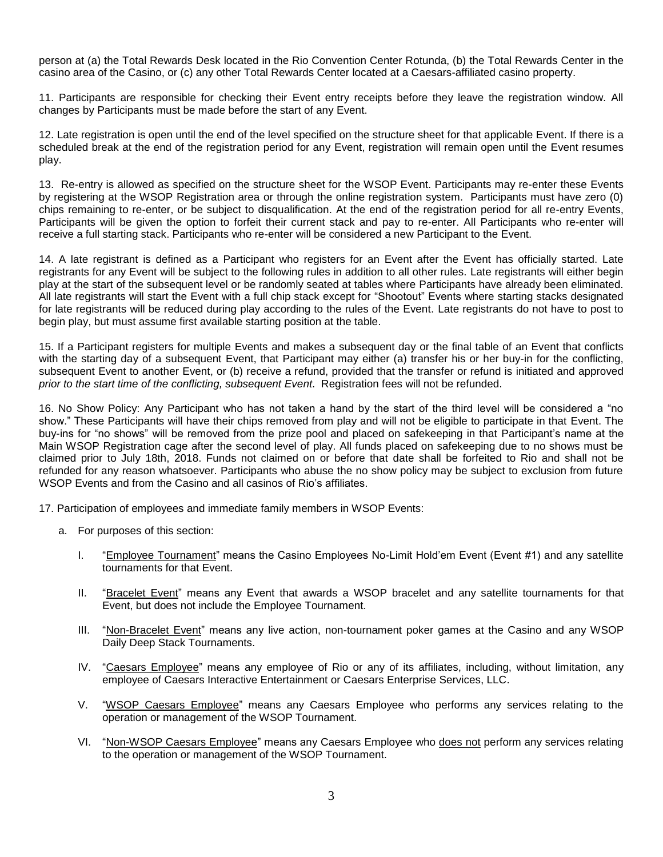person at (a) the Total Rewards Desk located in the Rio Convention Center Rotunda, (b) the Total Rewards Center in the casino area of the Casino, or (c) any other Total Rewards Center located at a Caesars-affiliated casino property.

11. Participants are responsible for checking their Event entry receipts before they leave the registration window. All changes by Participants must be made before the start of any Event.

12. Late registration is open until the end of the level specified on the structure sheet for that applicable Event. If there is a scheduled break at the end of the registration period for any Event, registration will remain open until the Event resumes play.

13. Re-entry is allowed as specified on the structure sheet for the WSOP Event. Participants may re-enter these Events by registering at the WSOP Registration area or through the online registration system. Participants must have zero (0) chips remaining to re-enter, or be subject to disqualification. At the end of the registration period for all re-entry Events, Participants will be given the option to forfeit their current stack and pay to re-enter. All Participants who re-enter will receive a full starting stack. Participants who re-enter will be considered a new Participant to the Event.

14. A late registrant is defined as a Participant who registers for an Event after the Event has officially started. Late registrants for any Event will be subject to the following rules in addition to all other rules. Late registrants will either begin play at the start of the subsequent level or be randomly seated at tables where Participants have already been eliminated. All late registrants will start the Event with a full chip stack except for "Shootout" Events where starting stacks designated for late registrants will be reduced during play according to the rules of the Event. Late registrants do not have to post to begin play, but must assume first available starting position at the table.

15. If a Participant registers for multiple Events and makes a subsequent day or the final table of an Event that conflicts with the starting day of a subsequent Event, that Participant may either (a) transfer his or her buy-in for the conflicting, subsequent Event to another Event, or (b) receive a refund, provided that the transfer or refund is initiated and approved *prior to the start time of the conflicting, subsequent Event*. Registration fees will not be refunded.

16. No Show Policy: Any Participant who has not taken a hand by the start of the third level will be considered a "no show." These Participants will have their chips removed from play and will not be eligible to participate in that Event. The buy-ins for "no shows" will be removed from the prize pool and placed on safekeeping in that Participant's name at the Main WSOP Registration cage after the second level of play. All funds placed on safekeeping due to no shows must be claimed prior to July 18th, 2018. Funds not claimed on or before that date shall be forfeited to Rio and shall not be refunded for any reason whatsoever. Participants who abuse the no show policy may be subject to exclusion from future WSOP Events and from the Casino and all casinos of Rio's affiliates.

17. Participation of employees and immediate family members in WSOP Events:

- a. For purposes of this section:
	- I. "Employee Tournament" means the Casino Employees No-Limit Hold'em Event (Event #1) and any satellite tournaments for that Event.
	- II. "Bracelet Event" means any Event that awards a WSOP bracelet and any satellite tournaments for that Event, but does not include the Employee Tournament.
	- III. "Non-Bracelet Event" means any live action, non-tournament poker games at the Casino and any WSOP Daily Deep Stack Tournaments.
	- IV. "Caesars Employee" means any employee of Rio or any of its affiliates, including, without limitation, any employee of Caesars Interactive Entertainment or Caesars Enterprise Services, LLC.
	- V. "WSOP Caesars Employee" means any Caesars Employee who performs any services relating to the operation or management of the WSOP Tournament.
	- VI. "Non-WSOP Caesars Employee" means any Caesars Employee who does not perform any services relating to the operation or management of the WSOP Tournament.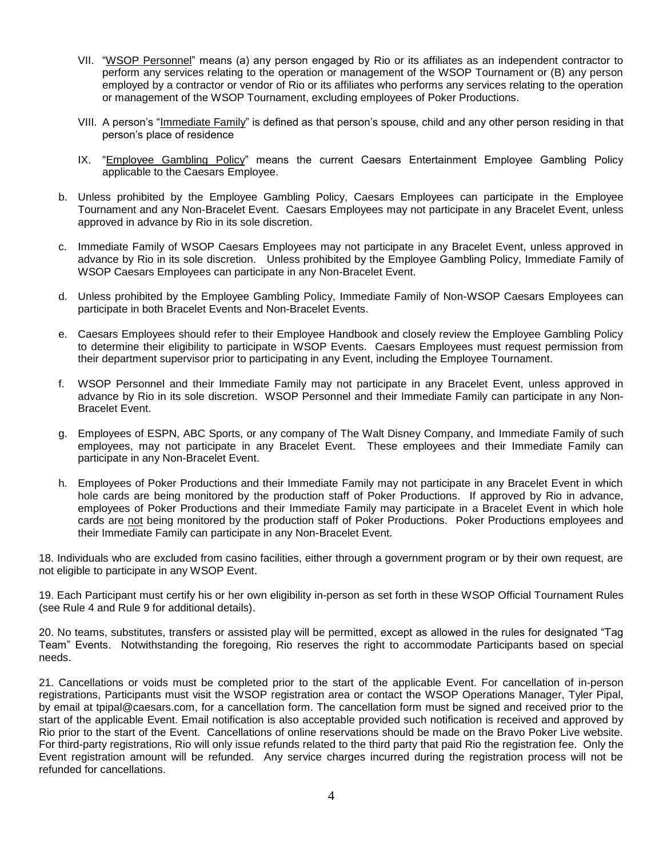- VII. "WSOP Personnel" means (a) any person engaged by Rio or its affiliates as an independent contractor to perform any services relating to the operation or management of the WSOP Tournament or (B) any person employed by a contractor or vendor of Rio or its affiliates who performs any services relating to the operation or management of the WSOP Tournament, excluding employees of Poker Productions.
- VIII. A person's "Immediate Family" is defined as that person's spouse, child and any other person residing in that person's place of residence
- IX. "Employee Gambling Policy" means the current Caesars Entertainment Employee Gambling Policy applicable to the Caesars Employee.
- b. Unless prohibited by the Employee Gambling Policy, Caesars Employees can participate in the Employee Tournament and any Non-Bracelet Event. Caesars Employees may not participate in any Bracelet Event, unless approved in advance by Rio in its sole discretion.
- c. Immediate Family of WSOP Caesars Employees may not participate in any Bracelet Event, unless approved in advance by Rio in its sole discretion. Unless prohibited by the Employee Gambling Policy, Immediate Family of WSOP Caesars Employees can participate in any Non-Bracelet Event.
- d. Unless prohibited by the Employee Gambling Policy, Immediate Family of Non-WSOP Caesars Employees can participate in both Bracelet Events and Non-Bracelet Events.
- e. Caesars Employees should refer to their Employee Handbook and closely review the Employee Gambling Policy to determine their eligibility to participate in WSOP Events. Caesars Employees must request permission from their department supervisor prior to participating in any Event, including the Employee Tournament.
- f. WSOP Personnel and their Immediate Family may not participate in any Bracelet Event, unless approved in advance by Rio in its sole discretion. WSOP Personnel and their Immediate Family can participate in any Non-Bracelet Event.
- g. Employees of ESPN, ABC Sports, or any company of The Walt Disney Company, and Immediate Family of such employees, may not participate in any Bracelet Event. These employees and their Immediate Family can participate in any Non-Bracelet Event.
- h. Employees of Poker Productions and their Immediate Family may not participate in any Bracelet Event in which hole cards are being monitored by the production staff of Poker Productions. If approved by Rio in advance, employees of Poker Productions and their Immediate Family may participate in a Bracelet Event in which hole cards are not being monitored by the production staff of Poker Productions. Poker Productions employees and their Immediate Family can participate in any Non-Bracelet Event.

18. Individuals who are excluded from casino facilities, either through a government program or by their own request, are not eligible to participate in any WSOP Event.

19. Each Participant must certify his or her own eligibility in-person as set forth in these WSOP Official Tournament Rules (see Rule 4 and Rule 9 for additional details).

20. No teams, substitutes, transfers or assisted play will be permitted, except as allowed in the rules for designated "Tag Team" Events. Notwithstanding the foregoing, Rio reserves the right to accommodate Participants based on special needs.

21. Cancellations or voids must be completed prior to the start of the applicable Event. For cancellation of in-person registrations, Participants must visit the WSOP registration area or contact the WSOP Operations Manager, Tyler Pipal, by email at tpipal@caesars.com, for a cancellation form. The cancellation form must be signed and received prior to the start of the applicable Event. Email notification is also acceptable provided such notification is received and approved by Rio prior to the start of the Event. Cancellations of online reservations should be made on the Bravo Poker Live website. For third-party registrations, Rio will only issue refunds related to the third party that paid Rio the registration fee. Only the Event registration amount will be refunded. Any service charges incurred during the registration process will not be refunded for cancellations.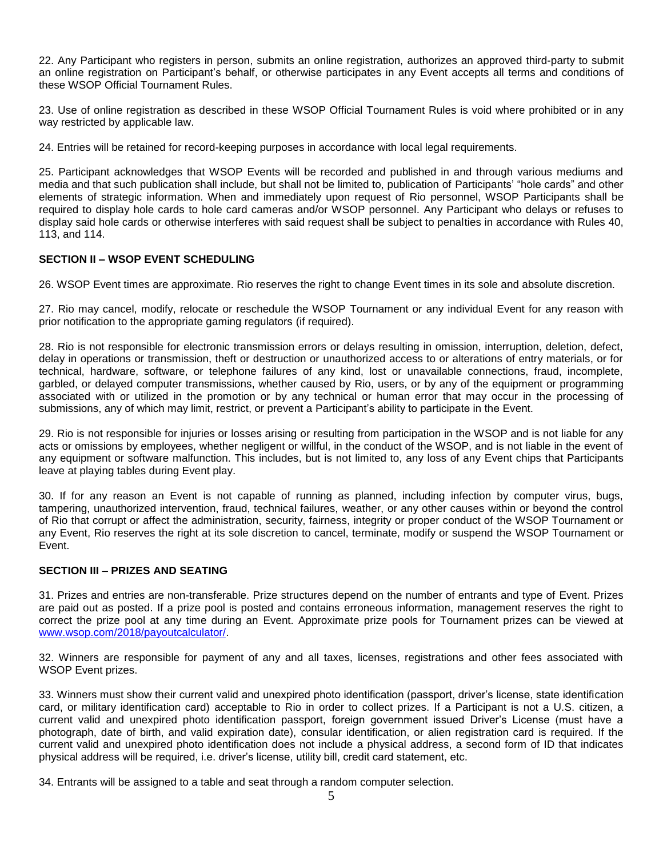22. Any Participant who registers in person, submits an online registration, authorizes an approved third-party to submit an online registration on Participant's behalf, or otherwise participates in any Event accepts all terms and conditions of these WSOP Official Tournament Rules.

23. Use of online registration as described in these WSOP Official Tournament Rules is void where prohibited or in any way restricted by applicable law.

24. Entries will be retained for record-keeping purposes in accordance with local legal requirements.

25. Participant acknowledges that WSOP Events will be recorded and published in and through various mediums and media and that such publication shall include, but shall not be limited to, publication of Participants' "hole cards" and other elements of strategic information. When and immediately upon request of Rio personnel, WSOP Participants shall be required to display hole cards to hole card cameras and/or WSOP personnel. Any Participant who delays or refuses to display said hole cards or otherwise interferes with said request shall be subject to penalties in accordance with Rules 40, 113, and 114.

# **SECTION II – WSOP EVENT SCHEDULING**

26. WSOP Event times are approximate. Rio reserves the right to change Event times in its sole and absolute discretion.

27. Rio may cancel, modify, relocate or reschedule the WSOP Tournament or any individual Event for any reason with prior notification to the appropriate gaming regulators (if required).

28. Rio is not responsible for electronic transmission errors or delays resulting in omission, interruption, deletion, defect, delay in operations or transmission, theft or destruction or unauthorized access to or alterations of entry materials, or for technical, hardware, software, or telephone failures of any kind, lost or unavailable connections, fraud, incomplete, garbled, or delayed computer transmissions, whether caused by Rio, users, or by any of the equipment or programming associated with or utilized in the promotion or by any technical or human error that may occur in the processing of submissions, any of which may limit, restrict, or prevent a Participant's ability to participate in the Event.

29. Rio is not responsible for injuries or losses arising or resulting from participation in the WSOP and is not liable for any acts or omissions by employees, whether negligent or willful, in the conduct of the WSOP, and is not liable in the event of any equipment or software malfunction. This includes, but is not limited to, any loss of any Event chips that Participants leave at playing tables during Event play.

30. If for any reason an Event is not capable of running as planned, including infection by computer virus, bugs, tampering, unauthorized intervention, fraud, technical failures, weather, or any other causes within or beyond the control of Rio that corrupt or affect the administration, security, fairness, integrity or proper conduct of the WSOP Tournament or any Event, Rio reserves the right at its sole discretion to cancel, terminate, modify or suspend the WSOP Tournament or Event.

# **SECTION III – PRIZES AND SEATING**

31. Prizes and entries are non-transferable. Prize structures depend on the number of entrants and type of Event. Prizes are paid out as posted. If a prize pool is posted and contains erroneous information, management reserves the right to correct the prize pool at any time during an Event. Approximate prize pools for Tournament prizes can be viewed at [www.wsop.com/2018/payoutcalculator/.](http://www.wsop.com/2018/payoutcalculator/)

32. Winners are responsible for payment of any and all taxes, licenses, registrations and other fees associated with WSOP Event prizes.

33. Winners must show their current valid and unexpired photo identification (passport, driver's license, state identification card, or military identification card) acceptable to Rio in order to collect prizes. If a Participant is not a U.S. citizen, a current valid and unexpired photo identification passport, foreign government issued Driver's License (must have a photograph, date of birth, and valid expiration date), consular identification, or alien registration card is required. If the current valid and unexpired photo identification does not include a physical address, a second form of ID that indicates physical address will be required, i.e. driver's license, utility bill, credit card statement, etc.

34. Entrants will be assigned to a table and seat through a random computer selection.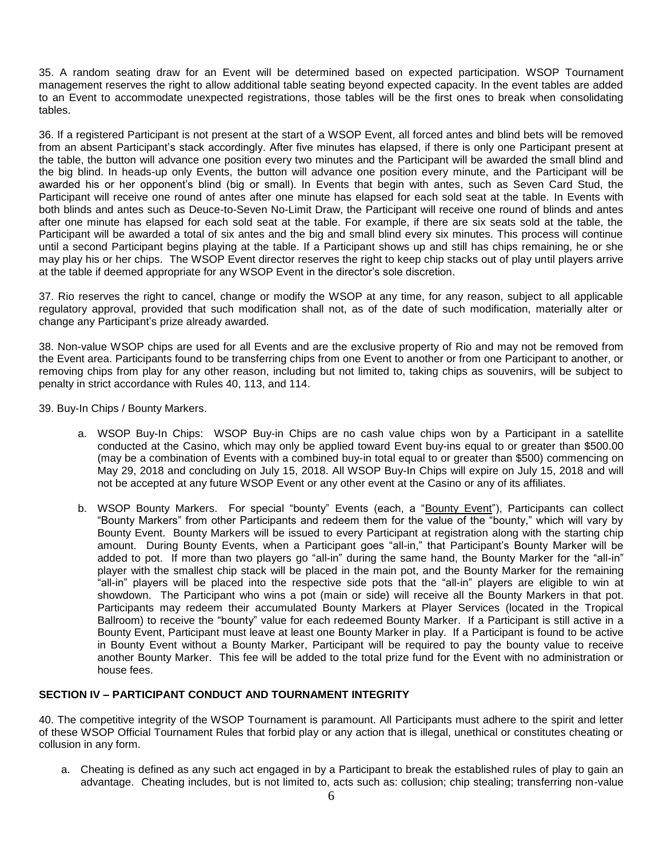35. A random seating draw for an Event will be determined based on expected participation. WSOP Tournament management reserves the right to allow additional table seating beyond expected capacity. In the event tables are added to an Event to accommodate unexpected registrations, those tables will be the first ones to break when consolidating tables.

36. If a registered Participant is not present at the start of a WSOP Event, all forced antes and blind bets will be removed from an absent Participant's stack accordingly. After five minutes has elapsed, if there is only one Participant present at the table, the button will advance one position every two minutes and the Participant will be awarded the small blind and the big blind. In heads-up only Events, the button will advance one position every minute, and the Participant will be awarded his or her opponent's blind (big or small). In Events that begin with antes, such as Seven Card Stud, the Participant will receive one round of antes after one minute has elapsed for each sold seat at the table. In Events with both blinds and antes such as Deuce-to-Seven No-Limit Draw, the Participant will receive one round of blinds and antes after one minute has elapsed for each sold seat at the table. For example, if there are six seats sold at the table, the Participant will be awarded a total of six antes and the big and small blind every six minutes. This process will continue until a second Participant begins playing at the table. If a Participant shows up and still has chips remaining, he or she may play his or her chips. The WSOP Event director reserves the right to keep chip stacks out of play until players arrive at the table if deemed appropriate for any WSOP Event in the director's sole discretion.

37. Rio reserves the right to cancel, change or modify the WSOP at any time, for any reason, subject to all applicable regulatory approval, provided that such modification shall not, as of the date of such modification, materially alter or change any Participant's prize already awarded.

38. Non-value WSOP chips are used for all Events and are the exclusive property of Rio and may not be removed from the Event area. Participants found to be transferring chips from one Event to another or from one Participant to another, or removing chips from play for any other reason, including but not limited to, taking chips as souvenirs, will be subject to penalty in strict accordance with Rules 40, 113, and 114.

39. Buy-In Chips / Bounty Markers.

- a. WSOP Buy-In Chips: WSOP Buy-in Chips are no cash value chips won by a Participant in a satellite conducted at the Casino, which may only be applied toward Event buy-ins equal to or greater than \$500.00 (may be a combination of Events with a combined buy-in total equal to or greater than \$500) commencing on May 29, 2018 and concluding on July 15, 2018. All WSOP Buy-In Chips will expire on July 15, 2018 and will not be accepted at any future WSOP Event or any other event at the Casino or any of its affiliates.
- b. WSOP Bounty Markers. For special "bounty" Events (each, a "Bounty Event"), Participants can collect "Bounty Markers" from other Participants and redeem them for the value of the "bounty," which will vary by Bounty Event. Bounty Markers will be issued to every Participant at registration along with the starting chip amount. During Bounty Events, when a Participant goes "all-in," that Participant's Bounty Marker will be added to pot. If more than two players go "all-in" during the same hand, the Bounty Marker for the "all-in" player with the smallest chip stack will be placed in the main pot, and the Bounty Marker for the remaining "all-in" players will be placed into the respective side pots that the "all-in" players are eligible to win at showdown. The Participant who wins a pot (main or side) will receive all the Bounty Markers in that pot. Participants may redeem their accumulated Bounty Markers at Player Services (located in the Tropical Ballroom) to receive the "bounty" value for each redeemed Bounty Marker. If a Participant is still active in a Bounty Event, Participant must leave at least one Bounty Marker in play. If a Participant is found to be active in Bounty Event without a Bounty Marker, Participant will be required to pay the bounty value to receive another Bounty Marker. This fee will be added to the total prize fund for the Event with no administration or house fees.

# **SECTION IV – PARTICIPANT CONDUCT AND TOURNAMENT INTEGRITY**

40. The competitive integrity of the WSOP Tournament is paramount. All Participants must adhere to the spirit and letter of these WSOP Official Tournament Rules that forbid play or any action that is illegal, unethical or constitutes cheating or collusion in any form.

a. Cheating is defined as any such act engaged in by a Participant to break the established rules of play to gain an advantage. Cheating includes, but is not limited to, acts such as: collusion; chip stealing; transferring non-value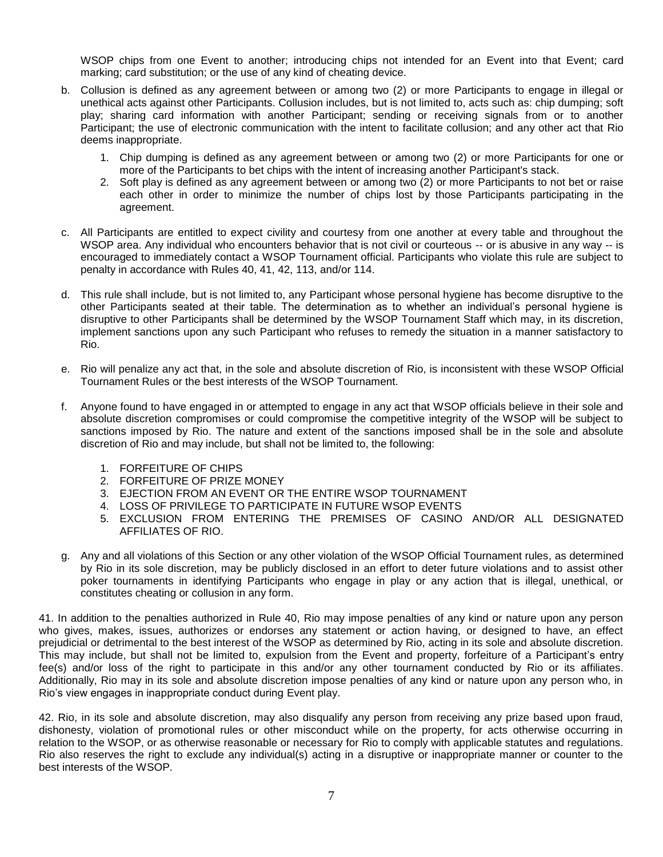WSOP chips from one Event to another; introducing chips not intended for an Event into that Event; card marking; card substitution; or the use of any kind of cheating device.

- b. Collusion is defined as any agreement between or among two (2) or more Participants to engage in illegal or unethical acts against other Participants. Collusion includes, but is not limited to, acts such as: chip dumping; soft play; sharing card information with another Participant; sending or receiving signals from or to another Participant; the use of electronic communication with the intent to facilitate collusion; and any other act that Rio deems inappropriate.
	- 1. Chip dumping is defined as any agreement between or among two (2) or more Participants for one or more of the Participants to bet chips with the intent of increasing another Participant's stack.
	- 2. Soft play is defined as any agreement between or among two (2) or more Participants to not bet or raise each other in order to minimize the number of chips lost by those Participants participating in the agreement.
- c. All Participants are entitled to expect civility and courtesy from one another at every table and throughout the WSOP area. Any individual who encounters behavior that is not civil or courteous -- or is abusive in any way -- is encouraged to immediately contact a WSOP Tournament official. Participants who violate this rule are subject to penalty in accordance with Rules 40, 41, 42, 113, and/or 114.
- d. This rule shall include, but is not limited to, any Participant whose personal hygiene has become disruptive to the other Participants seated at their table. The determination as to whether an individual's personal hygiene is disruptive to other Participants shall be determined by the WSOP Tournament Staff which may, in its discretion, implement sanctions upon any such Participant who refuses to remedy the situation in a manner satisfactory to Rio.
- e. Rio will penalize any act that, in the sole and absolute discretion of Rio, is inconsistent with these WSOP Official Tournament Rules or the best interests of the WSOP Tournament.
- f. Anyone found to have engaged in or attempted to engage in any act that WSOP officials believe in their sole and absolute discretion compromises or could compromise the competitive integrity of the WSOP will be subject to sanctions imposed by Rio. The nature and extent of the sanctions imposed shall be in the sole and absolute discretion of Rio and may include, but shall not be limited to, the following:
	- 1. FORFEITURE OF CHIPS
	- 2. FORFEITURE OF PRIZE MONEY
	- 3. EJECTION FROM AN EVENT OR THE ENTIRE WSOP TOURNAMENT
	- 4. LOSS OF PRIVILEGE TO PARTICIPATE IN FUTURE WSOP EVENTS
	- 5. EXCLUSION FROM ENTERING THE PREMISES OF CASINO AND/OR ALL DESIGNATED AFFILIATES OF RIO.
- g. Any and all violations of this Section or any other violation of the WSOP Official Tournament rules, as determined by Rio in its sole discretion, may be publicly disclosed in an effort to deter future violations and to assist other poker tournaments in identifying Participants who engage in play or any action that is illegal, unethical, or constitutes cheating or collusion in any form.

41. In addition to the penalties authorized in Rule 40, Rio may impose penalties of any kind or nature upon any person who gives, makes, issues, authorizes or endorses any statement or action having, or designed to have, an effect prejudicial or detrimental to the best interest of the WSOP as determined by Rio, acting in its sole and absolute discretion. This may include, but shall not be limited to, expulsion from the Event and property, forfeiture of a Participant's entry fee(s) and/or loss of the right to participate in this and/or any other tournament conducted by Rio or its affiliates. Additionally, Rio may in its sole and absolute discretion impose penalties of any kind or nature upon any person who, in Rio's view engages in inappropriate conduct during Event play.

42. Rio, in its sole and absolute discretion, may also disqualify any person from receiving any prize based upon fraud, dishonesty, violation of promotional rules or other misconduct while on the property, for acts otherwise occurring in relation to the WSOP, or as otherwise reasonable or necessary for Rio to comply with applicable statutes and regulations. Rio also reserves the right to exclude any individual(s) acting in a disruptive or inappropriate manner or counter to the best interests of the WSOP.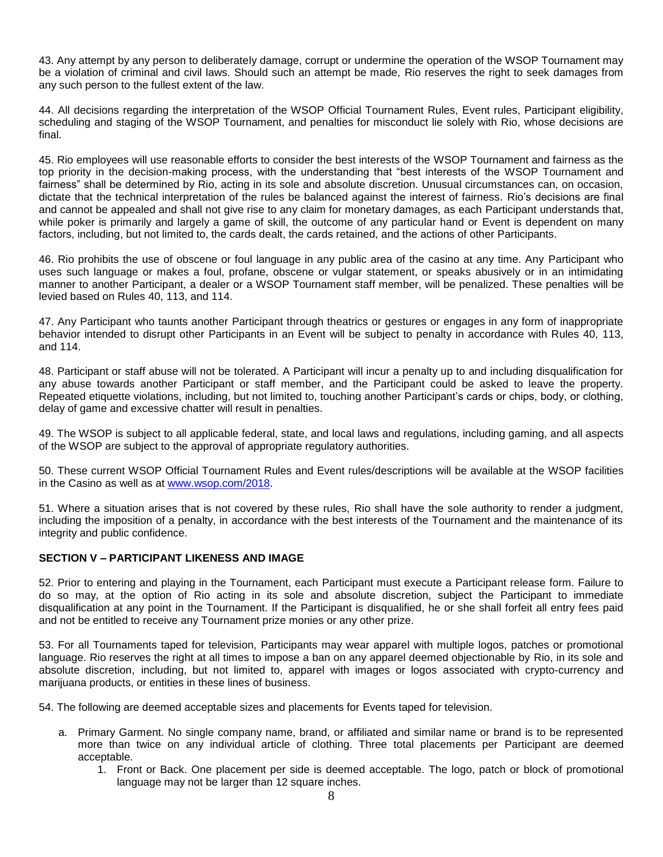43. Any attempt by any person to deliberately damage, corrupt or undermine the operation of the WSOP Tournament may be a violation of criminal and civil laws. Should such an attempt be made, Rio reserves the right to seek damages from any such person to the fullest extent of the law.

44. All decisions regarding the interpretation of the WSOP Official Tournament Rules, Event rules, Participant eligibility, scheduling and staging of the WSOP Tournament, and penalties for misconduct lie solely with Rio, whose decisions are final.

45. Rio employees will use reasonable efforts to consider the best interests of the WSOP Tournament and fairness as the top priority in the decision-making process, with the understanding that "best interests of the WSOP Tournament and fairness" shall be determined by Rio, acting in its sole and absolute discretion. Unusual circumstances can, on occasion, dictate that the technical interpretation of the rules be balanced against the interest of fairness. Rio's decisions are final and cannot be appealed and shall not give rise to any claim for monetary damages, as each Participant understands that, while poker is primarily and largely a game of skill, the outcome of any particular hand or Event is dependent on many factors, including, but not limited to, the cards dealt, the cards retained, and the actions of other Participants.

46. Rio prohibits the use of obscene or foul language in any public area of the casino at any time. Any Participant who uses such language or makes a foul, profane, obscene or vulgar statement, or speaks abusively or in an intimidating manner to another Participant, a dealer or a WSOP Tournament staff member, will be penalized. These penalties will be levied based on Rules 40, 113, and 114.

47. Any Participant who taunts another Participant through theatrics or gestures or engages in any form of inappropriate behavior intended to disrupt other Participants in an Event will be subject to penalty in accordance with Rules 40, 113, and 114.

48. Participant or staff abuse will not be tolerated. A Participant will incur a penalty up to and including disqualification for any abuse towards another Participant or staff member, and the Participant could be asked to leave the property. Repeated etiquette violations, including, but not limited to, touching another Participant's cards or chips, body, or clothing, delay of game and excessive chatter will result in penalties.

49. The WSOP is subject to all applicable federal, state, and local laws and regulations, including gaming, and all aspects of the WSOP are subject to the approval of appropriate regulatory authorities.

50. These current WSOP Official Tournament Rules and Event rules/descriptions will be available at the WSOP facilities in the Casino as well as at [www.wsop.com/2018.](http://www.wsop.com/2018)

51. Where a situation arises that is not covered by these rules, Rio shall have the sole authority to render a judgment, including the imposition of a penalty, in accordance with the best interests of the Tournament and the maintenance of its integrity and public confidence.

# **SECTION V – PARTICIPANT LIKENESS AND IMAGE**

52. Prior to entering and playing in the Tournament, each Participant must execute a Participant release form. Failure to do so may, at the option of Rio acting in its sole and absolute discretion, subject the Participant to immediate disqualification at any point in the Tournament. If the Participant is disqualified, he or she shall forfeit all entry fees paid and not be entitled to receive any Tournament prize monies or any other prize.

53. For all Tournaments taped for television, Participants may wear apparel with multiple logos, patches or promotional language. Rio reserves the right at all times to impose a ban on any apparel deemed objectionable by Rio, in its sole and absolute discretion, including, but not limited to, apparel with images or logos associated with crypto-currency and marijuana products, or entities in these lines of business.

54. The following are deemed acceptable sizes and placements for Events taped for television.

- a. Primary Garment. No single company name, brand, or affiliated and similar name or brand is to be represented more than twice on any individual article of clothing. Three total placements per Participant are deemed acceptable.
	- 1. Front or Back. One placement per side is deemed acceptable. The logo, patch or block of promotional language may not be larger than 12 square inches.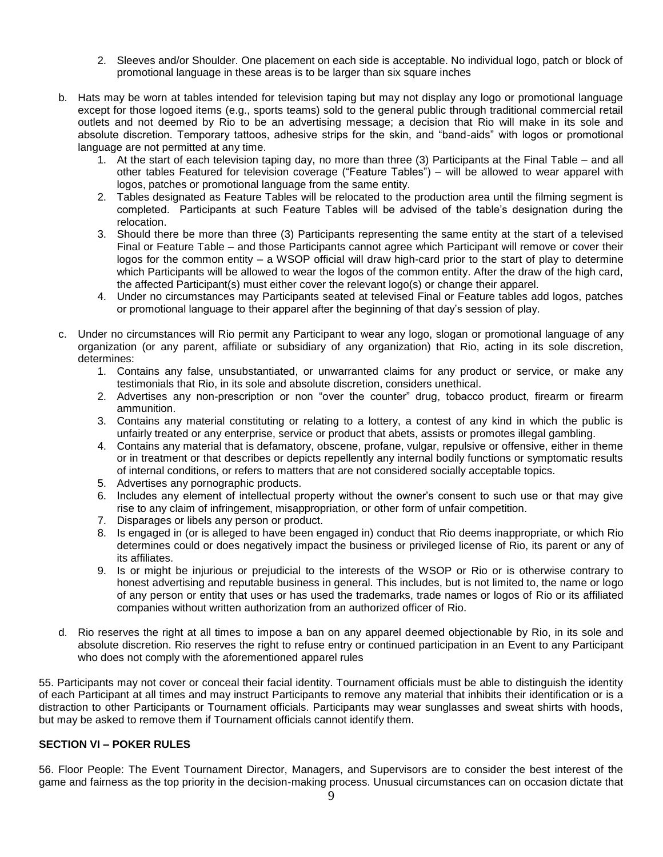- 2. Sleeves and/or Shoulder. One placement on each side is acceptable. No individual logo, patch or block of promotional language in these areas is to be larger than six square inches
- b. Hats may be worn at tables intended for television taping but may not display any logo or promotional language except for those logoed items (e.g., sports teams) sold to the general public through traditional commercial retail outlets and not deemed by Rio to be an advertising message; a decision that Rio will make in its sole and absolute discretion. Temporary tattoos, adhesive strips for the skin, and "band-aids" with logos or promotional language are not permitted at any time.
	- 1. At the start of each television taping day, no more than three (3) Participants at the Final Table and all other tables Featured for television coverage ("Feature Tables") – will be allowed to wear apparel with logos, patches or promotional language from the same entity.
	- 2. Tables designated as Feature Tables will be relocated to the production area until the filming segment is completed. Participants at such Feature Tables will be advised of the table's designation during the relocation.
	- 3. Should there be more than three (3) Participants representing the same entity at the start of a televised Final or Feature Table – and those Participants cannot agree which Participant will remove or cover their logos for the common entity – a WSOP official will draw high-card prior to the start of play to determine which Participants will be allowed to wear the logos of the common entity. After the draw of the high card, the affected Participant(s) must either cover the relevant logo(s) or change their apparel.
	- 4. Under no circumstances may Participants seated at televised Final or Feature tables add logos, patches or promotional language to their apparel after the beginning of that day's session of play.
- c. Under no circumstances will Rio permit any Participant to wear any logo, slogan or promotional language of any organization (or any parent, affiliate or subsidiary of any organization) that Rio, acting in its sole discretion, determines:
	- 1. Contains any false, unsubstantiated, or unwarranted claims for any product or service, or make any testimonials that Rio, in its sole and absolute discretion, considers unethical.
	- 2. Advertises any non-prescription or non "over the counter" drug, tobacco product, firearm or firearm ammunition.
	- 3. Contains any material constituting or relating to a lottery, a contest of any kind in which the public is unfairly treated or any enterprise, service or product that abets, assists or promotes illegal gambling.
	- 4. Contains any material that is defamatory, obscene, profane, vulgar, repulsive or offensive, either in theme or in treatment or that describes or depicts repellently any internal bodily functions or symptomatic results of internal conditions, or refers to matters that are not considered socially acceptable topics.
	- 5. Advertises any pornographic products.
	- 6. Includes any element of intellectual property without the owner's consent to such use or that may give rise to any claim of infringement, misappropriation, or other form of unfair competition.
	- 7. Disparages or libels any person or product.
	- 8. Is engaged in (or is alleged to have been engaged in) conduct that Rio deems inappropriate, or which Rio determines could or does negatively impact the business or privileged license of Rio, its parent or any of its affiliates.
	- 9. Is or might be injurious or prejudicial to the interests of the WSOP or Rio or is otherwise contrary to honest advertising and reputable business in general. This includes, but is not limited to, the name or logo of any person or entity that uses or has used the trademarks, trade names or logos of Rio or its affiliated companies without written authorization from an authorized officer of Rio.
- d. Rio reserves the right at all times to impose a ban on any apparel deemed objectionable by Rio, in its sole and absolute discretion. Rio reserves the right to refuse entry or continued participation in an Event to any Participant who does not comply with the aforementioned apparel rules

55. Participants may not cover or conceal their facial identity. Tournament officials must be able to distinguish the identity of each Participant at all times and may instruct Participants to remove any material that inhibits their identification or is a distraction to other Participants or Tournament officials. Participants may wear sunglasses and sweat shirts with hoods, but may be asked to remove them if Tournament officials cannot identify them.

# **SECTION VI – POKER RULES**

56. Floor People: The Event Tournament Director, Managers, and Supervisors are to consider the best interest of the game and fairness as the top priority in the decision-making process. Unusual circumstances can on occasion dictate that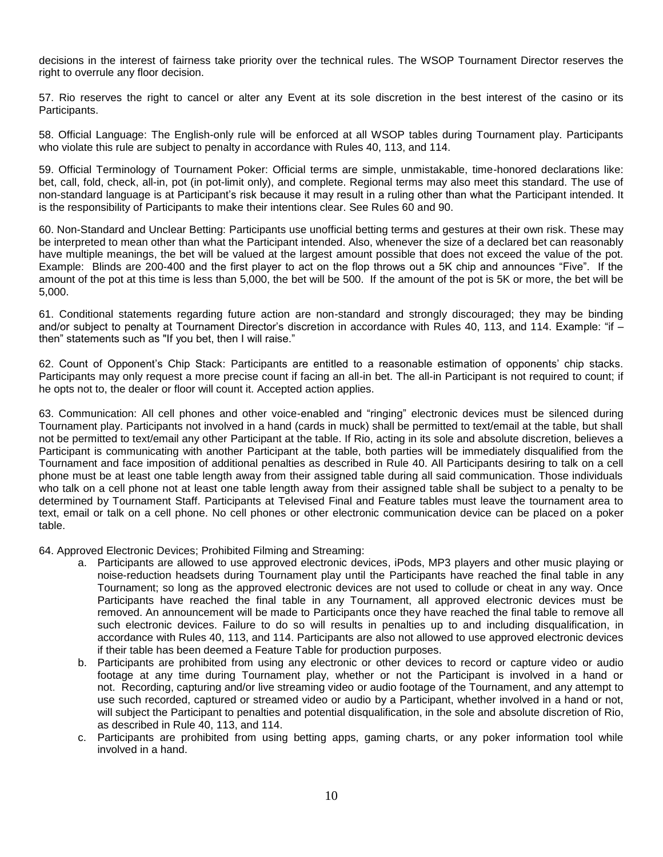decisions in the interest of fairness take priority over the technical rules. The WSOP Tournament Director reserves the right to overrule any floor decision.

57. Rio reserves the right to cancel or alter any Event at its sole discretion in the best interest of the casino or its Participants.

58. Official Language: The English-only rule will be enforced at all WSOP tables during Tournament play. Participants who violate this rule are subject to penalty in accordance with Rules 40, 113, and 114.

59. Official Terminology of Tournament Poker: Official terms are simple, unmistakable, time-honored declarations like: bet, call, fold, check, all-in, pot (in pot-limit only), and complete. Regional terms may also meet this standard. The use of non-standard language is at Participant's risk because it may result in a ruling other than what the Participant intended. It is the responsibility of Participants to make their intentions clear. See Rules 60 and 90.

60. Non-Standard and Unclear Betting: Participants use unofficial betting terms and gestures at their own risk. These may be interpreted to mean other than what the Participant intended. Also, whenever the size of a declared bet can reasonably have multiple meanings, the bet will be valued at the largest amount possible that does not exceed the value of the pot. Example: Blinds are 200-400 and the first player to act on the flop throws out a 5K chip and announces "Five". If the amount of the pot at this time is less than 5,000, the bet will be 500. If the amount of the pot is 5K or more, the bet will be 5,000.

61. Conditional statements regarding future action are non-standard and strongly discouraged; they may be binding and/or subject to penalty at Tournament Director's discretion in accordance with Rules 40, 113, and 114. Example: "if then" statements such as "If you bet, then I will raise."

62. Count of Opponent's Chip Stack: Participants are entitled to a reasonable estimation of opponents' chip stacks. Participants may only request a more precise count if facing an all-in bet. The all-in Participant is not required to count; if he opts not to, the dealer or floor will count it. Accepted action applies.

63. Communication: All cell phones and other voice-enabled and "ringing" electronic devices must be silenced during Tournament play. Participants not involved in a hand (cards in muck) shall be permitted to text/email at the table, but shall not be permitted to text/email any other Participant at the table. If Rio, acting in its sole and absolute discretion, believes a Participant is communicating with another Participant at the table, both parties will be immediately disqualified from the Tournament and face imposition of additional penalties as described in Rule 40. All Participants desiring to talk on a cell phone must be at least one table length away from their assigned table during all said communication. Those individuals who talk on a cell phone not at least one table length away from their assigned table shall be subject to a penalty to be determined by Tournament Staff. Participants at Televised Final and Feature tables must leave the tournament area to text, email or talk on a cell phone. No cell phones or other electronic communication device can be placed on a poker table.

64. Approved Electronic Devices; Prohibited Filming and Streaming:

- a. Participants are allowed to use approved electronic devices, iPods, MP3 players and other music playing or noise-reduction headsets during Tournament play until the Participants have reached the final table in any Tournament; so long as the approved electronic devices are not used to collude or cheat in any way. Once Participants have reached the final table in any Tournament, all approved electronic devices must be removed. An announcement will be made to Participants once they have reached the final table to remove all such electronic devices. Failure to do so will results in penalties up to and including disqualification, in accordance with Rules 40, 113, and 114. Participants are also not allowed to use approved electronic devices if their table has been deemed a Feature Table for production purposes.
- b. Participants are prohibited from using any electronic or other devices to record or capture video or audio footage at any time during Tournament play, whether or not the Participant is involved in a hand or not. Recording, capturing and/or live streaming video or audio footage of the Tournament, and any attempt to use such recorded, captured or streamed video or audio by a Participant, whether involved in a hand or not, will subject the Participant to penalties and potential disqualification, in the sole and absolute discretion of Rio, as described in Rule 40, 113, and 114.
- c. Participants are prohibited from using betting apps, gaming charts, or any poker information tool while involved in a hand.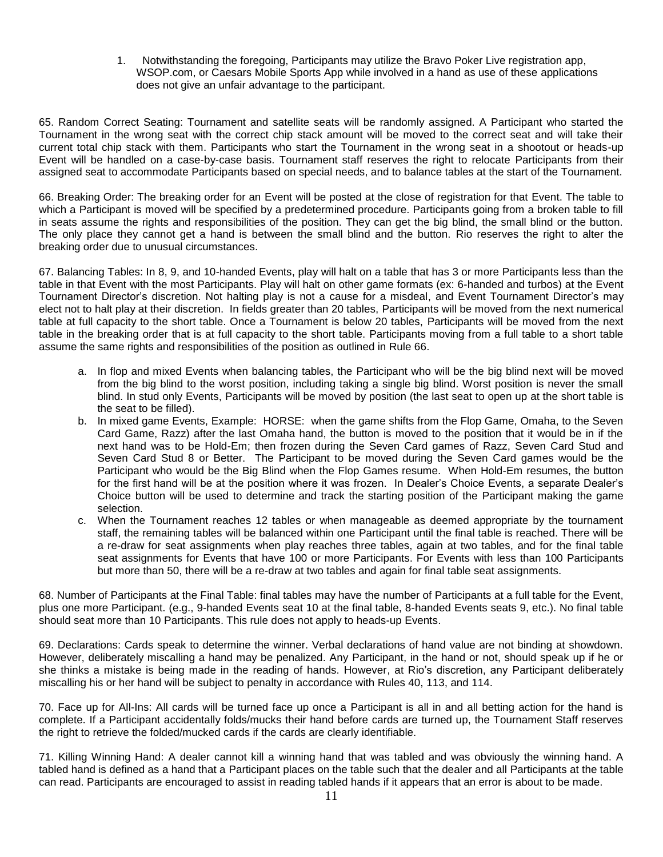1. Notwithstanding the foregoing, Participants may utilize the Bravo Poker Live registration app, WSOP.com, or Caesars Mobile Sports App while involved in a hand as use of these applications does not give an unfair advantage to the participant.

65. Random Correct Seating: Tournament and satellite seats will be randomly assigned. A Participant who started the Tournament in the wrong seat with the correct chip stack amount will be moved to the correct seat and will take their current total chip stack with them. Participants who start the Tournament in the wrong seat in a shootout or heads-up Event will be handled on a case-by-case basis. Tournament staff reserves the right to relocate Participants from their assigned seat to accommodate Participants based on special needs, and to balance tables at the start of the Tournament.

66. Breaking Order: The breaking order for an Event will be posted at the close of registration for that Event. The table to which a Participant is moved will be specified by a predetermined procedure. Participants going from a broken table to fill in seats assume the rights and responsibilities of the position. They can get the big blind, the small blind or the button. The only place they cannot get a hand is between the small blind and the button. Rio reserves the right to alter the breaking order due to unusual circumstances.

67. Balancing Tables: In 8, 9, and 10-handed Events, play will halt on a table that has 3 or more Participants less than the table in that Event with the most Participants. Play will halt on other game formats (ex: 6-handed and turbos) at the Event Tournament Director's discretion. Not halting play is not a cause for a misdeal, and Event Tournament Director's may elect not to halt play at their discretion. In fields greater than 20 tables, Participants will be moved from the next numerical table at full capacity to the short table. Once a Tournament is below 20 tables, Participants will be moved from the next table in the breaking order that is at full capacity to the short table. Participants moving from a full table to a short table assume the same rights and responsibilities of the position as outlined in Rule 66.

- a. In flop and mixed Events when balancing tables, the Participant who will be the big blind next will be moved from the big blind to the worst position, including taking a single big blind. Worst position is never the small blind. In stud only Events, Participants will be moved by position (the last seat to open up at the short table is the seat to be filled).
- b. In mixed game Events, Example: HORSE: when the game shifts from the Flop Game, Omaha, to the Seven Card Game, Razz) after the last Omaha hand, the button is moved to the position that it would be in if the next hand was to be Hold-Em; then frozen during the Seven Card games of Razz, Seven Card Stud and Seven Card Stud 8 or Better. The Participant to be moved during the Seven Card games would be the Participant who would be the Big Blind when the Flop Games resume. When Hold-Em resumes, the button for the first hand will be at the position where it was frozen. In Dealer's Choice Events, a separate Dealer's Choice button will be used to determine and track the starting position of the Participant making the game selection.
- c. When the Tournament reaches 12 tables or when manageable as deemed appropriate by the tournament staff, the remaining tables will be balanced within one Participant until the final table is reached. There will be a re-draw for seat assignments when play reaches three tables, again at two tables, and for the final table seat assignments for Events that have 100 or more Participants. For Events with less than 100 Participants but more than 50, there will be a re-draw at two tables and again for final table seat assignments.

68. Number of Participants at the Final Table: final tables may have the number of Participants at a full table for the Event, plus one more Participant. (e.g., 9-handed Events seat 10 at the final table, 8-handed Events seats 9, etc.). No final table should seat more than 10 Participants. This rule does not apply to heads-up Events.

69. Declarations: Cards speak to determine the winner. Verbal declarations of hand value are not binding at showdown. However, deliberately miscalling a hand may be penalized. Any Participant, in the hand or not, should speak up if he or she thinks a mistake is being made in the reading of hands. However, at Rio's discretion, any Participant deliberately miscalling his or her hand will be subject to penalty in accordance with Rules 40, 113, and 114.

70. Face up for All-Ins: All cards will be turned face up once a Participant is all in and all betting action for the hand is complete. If a Participant accidentally folds/mucks their hand before cards are turned up, the Tournament Staff reserves the right to retrieve the folded/mucked cards if the cards are clearly identifiable.

71. Killing Winning Hand: A dealer cannot kill a winning hand that was tabled and was obviously the winning hand. A tabled hand is defined as a hand that a Participant places on the table such that the dealer and all Participants at the table can read. Participants are encouraged to assist in reading tabled hands if it appears that an error is about to be made.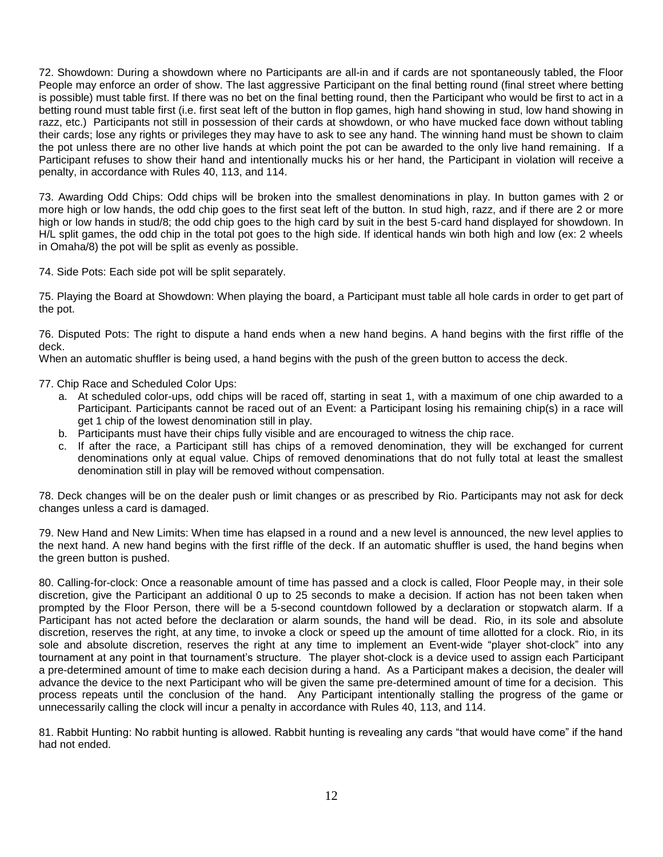72. Showdown: During a showdown where no Participants are all-in and if cards are not spontaneously tabled, the Floor People may enforce an order of show. The last aggressive Participant on the final betting round (final street where betting is possible) must table first. If there was no bet on the final betting round, then the Participant who would be first to act in a betting round must table first (i.e. first seat left of the button in flop games, high hand showing in stud, low hand showing in razz, etc.) Participants not still in possession of their cards at showdown, or who have mucked face down without tabling their cards; lose any rights or privileges they may have to ask to see any hand. The winning hand must be shown to claim the pot unless there are no other live hands at which point the pot can be awarded to the only live hand remaining. If a Participant refuses to show their hand and intentionally mucks his or her hand, the Participant in violation will receive a penalty, in accordance with Rules 40, 113, and 114.

73. Awarding Odd Chips: Odd chips will be broken into the smallest denominations in play. In button games with 2 or more high or low hands, the odd chip goes to the first seat left of the button. In stud high, razz, and if there are 2 or more high or low hands in stud/8; the odd chip goes to the high card by suit in the best 5-card hand displayed for showdown. In H/L split games, the odd chip in the total pot goes to the high side. If identical hands win both high and low (ex: 2 wheels in Omaha/8) the pot will be split as evenly as possible.

74. Side Pots: Each side pot will be split separately.

75. Playing the Board at Showdown: When playing the board, a Participant must table all hole cards in order to get part of the pot.

76. Disputed Pots: The right to dispute a hand ends when a new hand begins. A hand begins with the first riffle of the deck.

When an automatic shuffler is being used, a hand begins with the push of the green button to access the deck.

77. Chip Race and Scheduled Color Ups:

- a. At scheduled color-ups, odd chips will be raced off, starting in seat 1, with a maximum of one chip awarded to a Participant. Participants cannot be raced out of an Event: a Participant losing his remaining chip(s) in a race will get 1 chip of the lowest denomination still in play.
- b. Participants must have their chips fully visible and are encouraged to witness the chip race.
- c. If after the race, a Participant still has chips of a removed denomination, they will be exchanged for current denominations only at equal value. Chips of removed denominations that do not fully total at least the smallest denomination still in play will be removed without compensation.

78. Deck changes will be on the dealer push or limit changes or as prescribed by Rio. Participants may not ask for deck changes unless a card is damaged.

79. New Hand and New Limits: When time has elapsed in a round and a new level is announced, the new level applies to the next hand. A new hand begins with the first riffle of the deck. If an automatic shuffler is used, the hand begins when the green button is pushed.

80. Calling-for-clock: Once a reasonable amount of time has passed and a clock is called, Floor People may, in their sole discretion, give the Participant an additional 0 up to 25 seconds to make a decision. If action has not been taken when prompted by the Floor Person, there will be a 5-second countdown followed by a declaration or stopwatch alarm. If a Participant has not acted before the declaration or alarm sounds, the hand will be dead. Rio, in its sole and absolute discretion, reserves the right, at any time, to invoke a clock or speed up the amount of time allotted for a clock. Rio, in its sole and absolute discretion, reserves the right at any time to implement an Event-wide "player shot-clock" into any tournament at any point in that tournament's structure. The player shot-clock is a device used to assign each Participant a pre-determined amount of time to make each decision during a hand. As a Participant makes a decision, the dealer will advance the device to the next Participant who will be given the same pre-determined amount of time for a decision. This process repeats until the conclusion of the hand. Any Participant intentionally stalling the progress of the game or unnecessarily calling the clock will incur a penalty in accordance with Rules 40, 113, and 114.

81. Rabbit Hunting: No rabbit hunting is allowed. Rabbit hunting is revealing any cards "that would have come" if the hand had not ended.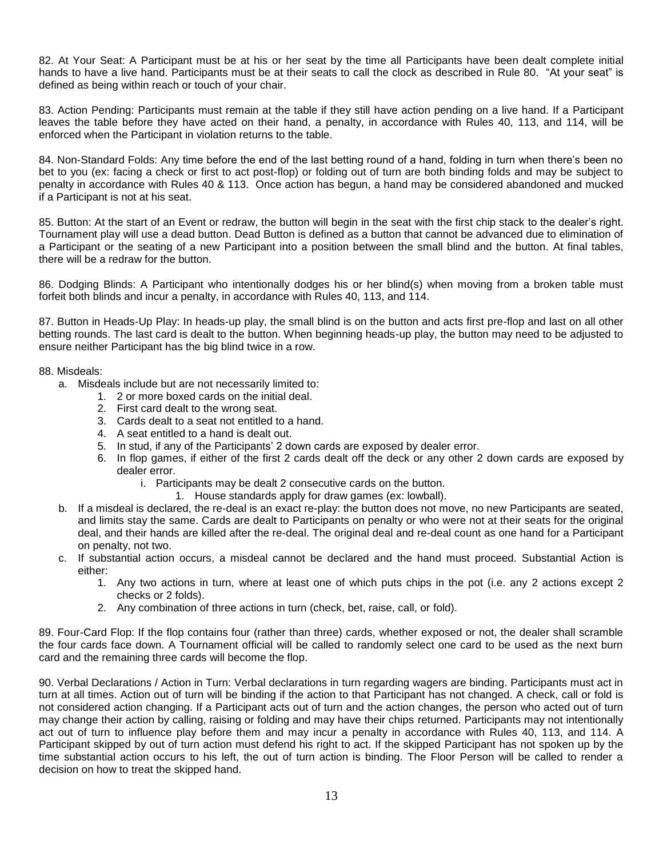82. At Your Seat: A Participant must be at his or her seat by the time all Participants have been dealt complete initial hands to have a live hand. Participants must be at their seats to call the clock as described in Rule 80. "At your seat" is defined as being within reach or touch of your chair.

83. Action Pending: Participants must remain at the table if they still have action pending on a live hand. If a Participant leaves the table before they have acted on their hand, a penalty, in accordance with Rules 40, 113, and 114, will be enforced when the Participant in violation returns to the table.

84. Non-Standard Folds: Any time before the end of the last betting round of a hand, folding in turn when there's been no bet to you (ex: facing a check or first to act post-flop) or folding out of turn are both binding folds and may be subject to penalty in accordance with Rules 40 & 113. Once action has begun, a hand may be considered abandoned and mucked if a Participant is not at his seat.

85. Button: At the start of an Event or redraw, the button will begin in the seat with the first chip stack to the dealer's right. Tournament play will use a dead button. Dead Button is defined as a button that cannot be advanced due to elimination of a Participant or the seating of a new Participant into a position between the small blind and the button. At final tables, there will be a redraw for the button.

86. Dodging Blinds: A Participant who intentionally dodges his or her blind(s) when moving from a broken table must forfeit both blinds and incur a penalty, in accordance with Rules 40, 113, and 114.

87. Button in Heads-Up Play: In heads-up play, the small blind is on the button and acts first pre-flop and last on all other betting rounds. The last card is dealt to the button. When beginning heads-up play, the button may need to be adjusted to ensure neither Participant has the big blind twice in a row.

#### 88. Misdeals:

- a. Misdeals include but are not necessarily limited to:
	- 1. 2 or more boxed cards on the initial deal.
	- 2. First card dealt to the wrong seat.
	- 3. Cards dealt to a seat not entitled to a hand.
	- 4. A seat entitled to a hand is dealt out.
	- 5. In stud, if any of the Participants' 2 down cards are exposed by dealer error.
	- 6. In flop games, if either of the first 2 cards dealt off the deck or any other 2 down cards are exposed by dealer error.
		- i. Participants may be dealt 2 consecutive cards on the button.
			- 1. House standards apply for draw games (ex: lowball).
- b. If a misdeal is declared, the re-deal is an exact re-play: the button does not move, no new Participants are seated, and limits stay the same. Cards are dealt to Participants on penalty or who were not at their seats for the original deal, and their hands are killed after the re-deal. The original deal and re-deal count as one hand for a Participant on penalty, not two.
- c. If substantial action occurs, a misdeal cannot be declared and the hand must proceed. Substantial Action is either:
	- 1. Any two actions in turn, where at least one of which puts chips in the pot (i.e. any 2 actions except 2 checks or 2 folds).
	- 2. Any combination of three actions in turn (check, bet, raise, call, or fold).

89. Four-Card Flop: If the flop contains four (rather than three) cards, whether exposed or not, the dealer shall scramble the four cards face down. A Tournament official will be called to randomly select one card to be used as the next burn card and the remaining three cards will become the flop.

90. Verbal Declarations / Action in Turn: Verbal declarations in turn regarding wagers are binding. Participants must act in turn at all times. Action out of turn will be binding if the action to that Participant has not changed. A check, call or fold is not considered action changing. If a Participant acts out of turn and the action changes, the person who acted out of turn may change their action by calling, raising or folding and may have their chips returned. Participants may not intentionally act out of turn to influence play before them and may incur a penalty in accordance with Rules 40, 113, and 114. A Participant skipped by out of turn action must defend his right to act. If the skipped Participant has not spoken up by the time substantial action occurs to his left, the out of turn action is binding. The Floor Person will be called to render a decision on how to treat the skipped hand.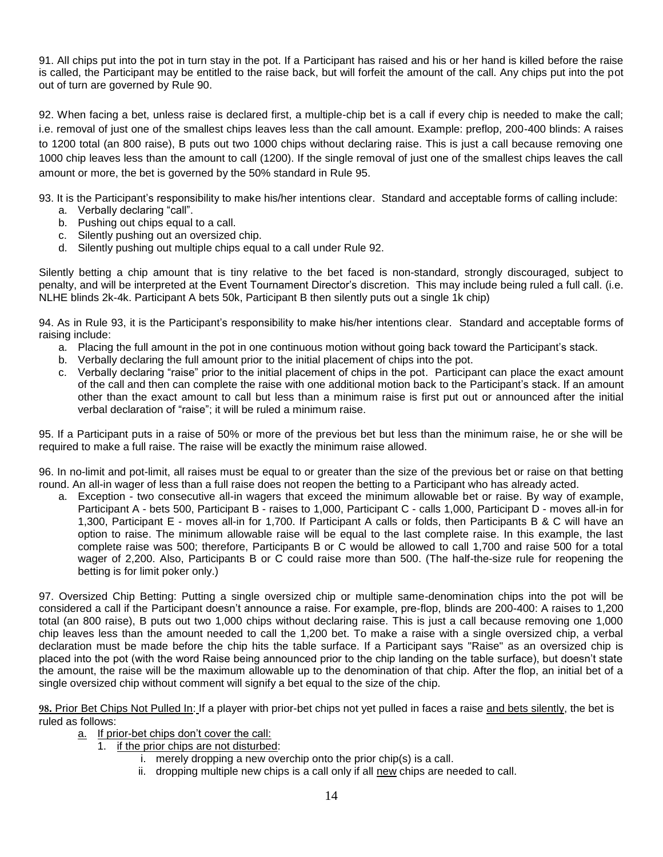91. All chips put into the pot in turn stay in the pot. If a Participant has raised and his or her hand is killed before the raise is called, the Participant may be entitled to the raise back, but will forfeit the amount of the call. Any chips put into the pot out of turn are governed by Rule 90.

92. When facing a bet, unless raise is declared first, a multiple-chip bet is a call if every chip is needed to make the call; i.e. removal of just one of the smallest chips leaves less than the call amount. Example: preflop, 200-400 blinds: A raises to 1200 total (an 800 raise), B puts out two 1000 chips without declaring raise. This is just a call because removing one 1000 chip leaves less than the amount to call (1200). If the single removal of just one of the smallest chips leaves the call amount or more, the bet is governed by the 50% standard in Rule 95.

93. It is the Participant's responsibility to make his/her intentions clear. Standard and acceptable forms of calling include:

- a. Verbally declaring "call".
- b. Pushing out chips equal to a call.
- c. Silently pushing out an oversized chip.
- d. Silently pushing out multiple chips equal to a call under Rule 92.

Silently betting a chip amount that is tiny relative to the bet faced is non-standard, strongly discouraged, subject to penalty, and will be interpreted at the Event Tournament Director's discretion. This may include being ruled a full call. (i.e. NLHE blinds 2k-4k. Participant A bets 50k, Participant B then silently puts out a single 1k chip)

94. As in Rule 93, it is the Participant's responsibility to make his/her intentions clear. Standard and acceptable forms of raising include:

- a. Placing the full amount in the pot in one continuous motion without going back toward the Participant's stack.
- b. Verbally declaring the full amount prior to the initial placement of chips into the pot.
- c. Verbally declaring "raise" prior to the initial placement of chips in the pot. Participant can place the exact amount of the call and then can complete the raise with one additional motion back to the Participant's stack. If an amount other than the exact amount to call but less than a minimum raise is first put out or announced after the initial verbal declaration of "raise"; it will be ruled a minimum raise.

95. If a Participant puts in a raise of 50% or more of the previous bet but less than the minimum raise, he or she will be required to make a full raise. The raise will be exactly the minimum raise allowed.

96. In no-limit and pot-limit, all raises must be equal to or greater than the size of the previous bet or raise on that betting round. An all-in wager of less than a full raise does not reopen the betting to a Participant who has already acted.

a. Exception - two consecutive all-in wagers that exceed the minimum allowable bet or raise. By way of example, Participant A - bets 500, Participant B - raises to 1,000, Participant C - calls 1,000, Participant D - moves all-in for 1,300, Participant E - moves all-in for 1,700. If Participant A calls or folds, then Participants B & C will have an option to raise. The minimum allowable raise will be equal to the last complete raise. In this example, the last complete raise was 500; therefore, Participants B or C would be allowed to call 1,700 and raise 500 for a total wager of 2,200. Also, Participants B or C could raise more than 500. (The half-the-size rule for reopening the betting is for limit poker only.)

97. Oversized Chip Betting: Putting a single oversized chip or multiple same-denomination chips into the pot will be considered a call if the Participant doesn't announce a raise. For example, pre-flop, blinds are 200-400: A raises to 1,200 total (an 800 raise), B puts out two 1,000 chips without declaring raise. This is just a call because removing one 1,000 chip leaves less than the amount needed to call the 1,200 bet. To make a raise with a single oversized chip, a verbal declaration must be made before the chip hits the table surface. If a Participant says "Raise" as an oversized chip is placed into the pot (with the word Raise being announced prior to the chip landing on the table surface), but doesn't state the amount, the raise will be the maximum allowable up to the denomination of that chip. After the flop, an initial bet of a single oversized chip without comment will signify a bet equal to the size of the chip.

**98.** Prior Bet Chips Not Pulled In: If a player with prior-bet chips not yet pulled in faces a raise and bets silently, the bet is ruled as follows:

- a. If prior-bet chips don't cover the call:
	- 1. if the prior chips are not disturbed:
		- i. merely dropping a new overchip onto the prior chip(s) is a call.
		- ii. dropping multiple new chips is a call only if all new chips are needed to call.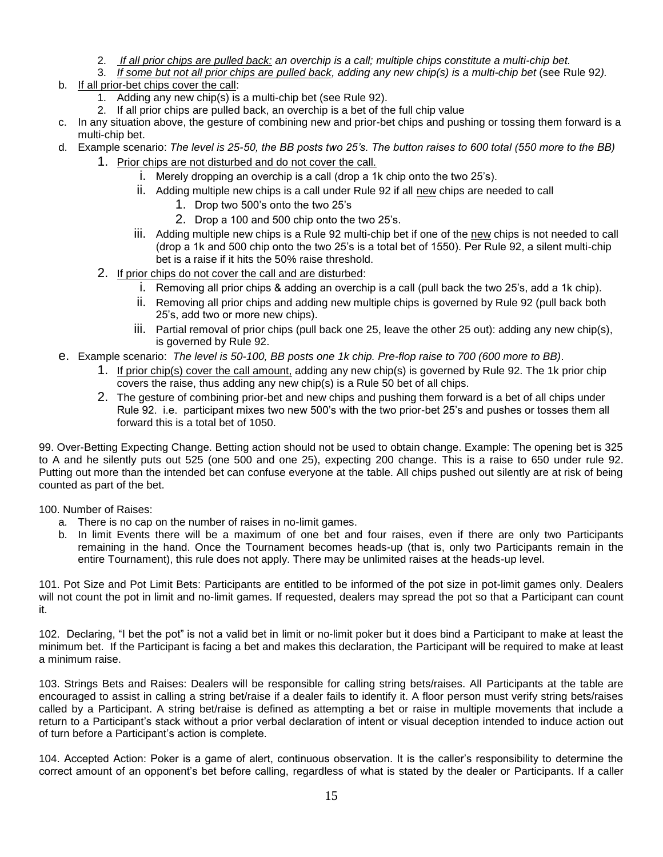- 2. *If all prior chips are pulled back: an overchip is a call; multiple chips constitute a multi-chip bet.*
- 3. *If some but not all prior chips are pulled back, adding any new chip(s) is a multi-chip bet* (see Rule 92*).*
- b. If all prior-bet chips cover the call:
	- 1. Adding any new chip(s) is a multi-chip bet (see Rule 92).
	- 2. If all prior chips are pulled back, an overchip is a bet of the full chip value
- c. In any situation above, the gesture of combining new and prior-bet chips and pushing or tossing them forward is a multi-chip bet.
- d. Example scenario: *The level is 25-50, the BB posts two 25's. The button raises to 600 total (550 more to the BB)*
	- 1. Prior chips are not disturbed and do not cover the call.
		- i. Merely dropping an overchip is a call (drop a 1k chip onto the two 25's).
		- ii. Adding multiple new chips is a call under Rule 92 if all new chips are needed to call
			- 1. Drop two 500's onto the two 25's
			- 2. Drop a 100 and 500 chip onto the two 25's.
		- iii. Adding multiple new chips is a Rule 92 multi-chip bet if one of the new chips is not needed to call (drop a 1k and 500 chip onto the two 25's is a total bet of 1550). Per Rule 92, a silent multi-chip bet is a raise if it hits the 50% raise threshold.
	- 2. If prior chips do not cover the call and are disturbed:
		- i. Removing all prior chips & adding an overchip is a call (pull back the two 25's, add a 1k chip).
		- ii. Removing all prior chips and adding new multiple chips is governed by Rule 92 (pull back both 25's, add two or more new chips).
		- iii. Partial removal of prior chips (pull back one 25, leave the other 25 out): adding any new chip(s), is governed by Rule 92.
- e. Example scenario: *The level is 50-100, BB posts one 1k chip. Pre-flop raise to 700 (600 more to BB)*.
	- 1. If prior chip(s) cover the call amount, adding any new chip(s) is governed by Rule 92. The 1k prior chip covers the raise, thus adding any new chip(s) is a Rule 50 bet of all chips.
	- 2. The gesture of combining prior-bet and new chips and pushing them forward is a bet of all chips under Rule 92. i.e. participant mixes two new 500's with the two prior-bet 25's and pushes or tosses them all forward this is a total bet of 1050.

99. Over-Betting Expecting Change. Betting action should not be used to obtain change. Example: The opening bet is 325 to A and he silently puts out 525 (one 500 and one 25), expecting 200 change. This is a raise to 650 under rule 92. Putting out more than the intended bet can confuse everyone at the table. All chips pushed out silently are at risk of being counted as part of the bet.

100. Number of Raises:

- a. There is no cap on the number of raises in no-limit games.
- b. In limit Events there will be a maximum of one bet and four raises, even if there are only two Participants remaining in the hand. Once the Tournament becomes heads-up (that is, only two Participants remain in the entire Tournament), this rule does not apply. There may be unlimited raises at the heads-up level.

101. Pot Size and Pot Limit Bets: Participants are entitled to be informed of the pot size in pot-limit games only. Dealers will not count the pot in limit and no-limit games. If requested, dealers may spread the pot so that a Participant can count it.

102. Declaring, "I bet the pot" is not a valid bet in limit or no-limit poker but it does bind a Participant to make at least the minimum bet. If the Participant is facing a bet and makes this declaration, the Participant will be required to make at least a minimum raise.

103. Strings Bets and Raises: Dealers will be responsible for calling string bets/raises. All Participants at the table are encouraged to assist in calling a string bet/raise if a dealer fails to identify it. A floor person must verify string bets/raises called by a Participant. A string bet/raise is defined as attempting a bet or raise in multiple movements that include a return to a Participant's stack without a prior verbal declaration of intent or visual deception intended to induce action out of turn before a Participant's action is complete.

104. Accepted Action: Poker is a game of alert, continuous observation. It is the caller's responsibility to determine the correct amount of an opponent's bet before calling, regardless of what is stated by the dealer or Participants. If a caller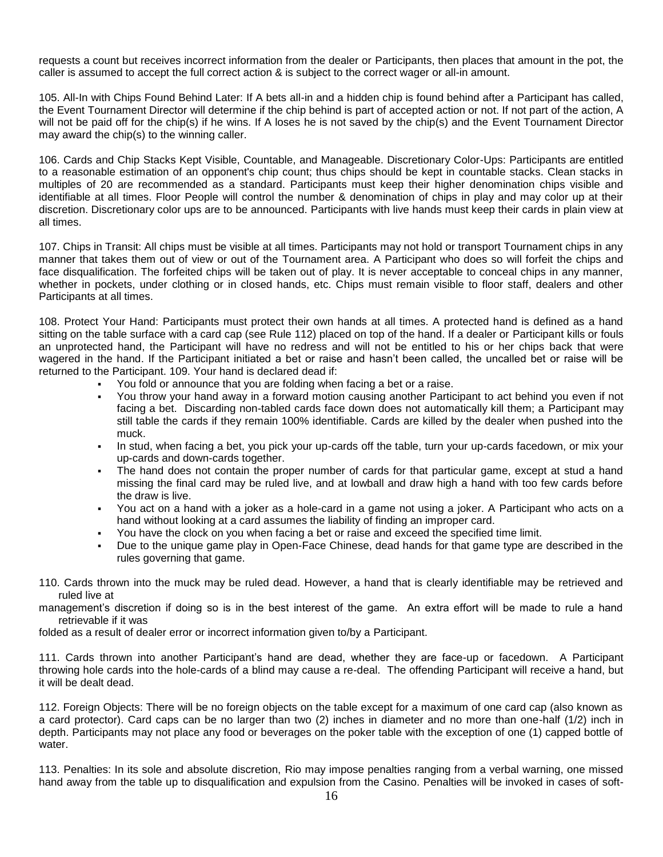requests a count but receives incorrect information from the dealer or Participants, then places that amount in the pot, the caller is assumed to accept the full correct action & is subject to the correct wager or all-in amount.

105. All-In with Chips Found Behind Later: If A bets all-in and a hidden chip is found behind after a Participant has called, the Event Tournament Director will determine if the chip behind is part of accepted action or not. If not part of the action, A will not be paid off for the chip(s) if he wins. If A loses he is not saved by the chip(s) and the Event Tournament Director may award the chip(s) to the winning caller.

106. Cards and Chip Stacks Kept Visible, Countable, and Manageable. Discretionary Color-Ups: Participants are entitled to a reasonable estimation of an opponent's chip count; thus chips should be kept in countable stacks. Clean stacks in multiples of 20 are recommended as a standard. Participants must keep their higher denomination chips visible and identifiable at all times. Floor People will control the number & denomination of chips in play and may color up at their discretion. Discretionary color ups are to be announced. Participants with live hands must keep their cards in plain view at all times.

107. Chips in Transit: All chips must be visible at all times. Participants may not hold or transport Tournament chips in any manner that takes them out of view or out of the Tournament area. A Participant who does so will forfeit the chips and face disqualification. The forfeited chips will be taken out of play. It is never acceptable to conceal chips in any manner, whether in pockets, under clothing or in closed hands, etc. Chips must remain visible to floor staff, dealers and other Participants at all times.

108. Protect Your Hand: Participants must protect their own hands at all times. A protected hand is defined as a hand sitting on the table surface with a card cap (see Rule 112) placed on top of the hand. If a dealer or Participant kills or fouls an unprotected hand, the Participant will have no redress and will not be entitled to his or her chips back that were wagered in the hand. If the Participant initiated a bet or raise and hasn't been called, the uncalled bet or raise will be returned to the Participant. 109. Your hand is declared dead if:

- You fold or announce that you are folding when facing a bet or a raise.
- You throw your hand away in a forward motion causing another Participant to act behind you even if not facing a bet. Discarding non-tabled cards face down does not automatically kill them; a Participant may still table the cards if they remain 100% identifiable. Cards are killed by the dealer when pushed into the muck.
- In stud, when facing a bet, you pick your up-cards off the table, turn your up-cards facedown, or mix your up-cards and down-cards together.
- The hand does not contain the proper number of cards for that particular game, except at stud a hand missing the final card may be ruled live, and at lowball and draw high a hand with too few cards before the draw is live.
- You act on a hand with a joker as a hole-card in a game not using a joker. A Participant who acts on a hand without looking at a card assumes the liability of finding an improper card.
- You have the clock on you when facing a bet or raise and exceed the specified time limit.
- Due to the unique game play in Open-Face Chinese, dead hands for that game type are described in the rules governing that game.
- 110. Cards thrown into the muck may be ruled dead. However, a hand that is clearly identifiable may be retrieved and ruled live at
- management's discretion if doing so is in the best interest of the game. An extra effort will be made to rule a hand retrievable if it was

folded as a result of dealer error or incorrect information given to/by a Participant.

111. Cards thrown into another Participant's hand are dead, whether they are face-up or facedown. A Participant throwing hole cards into the hole-cards of a blind may cause a re-deal. The offending Participant will receive a hand, but it will be dealt dead.

112. Foreign Objects: There will be no foreign objects on the table except for a maximum of one card cap (also known as a card protector). Card caps can be no larger than two (2) inches in diameter and no more than one-half (1/2) inch in depth. Participants may not place any food or beverages on the poker table with the exception of one (1) capped bottle of water.

113. Penalties: In its sole and absolute discretion, Rio may impose penalties ranging from a verbal warning, one missed hand away from the table up to disqualification and expulsion from the Casino. Penalties will be invoked in cases of soft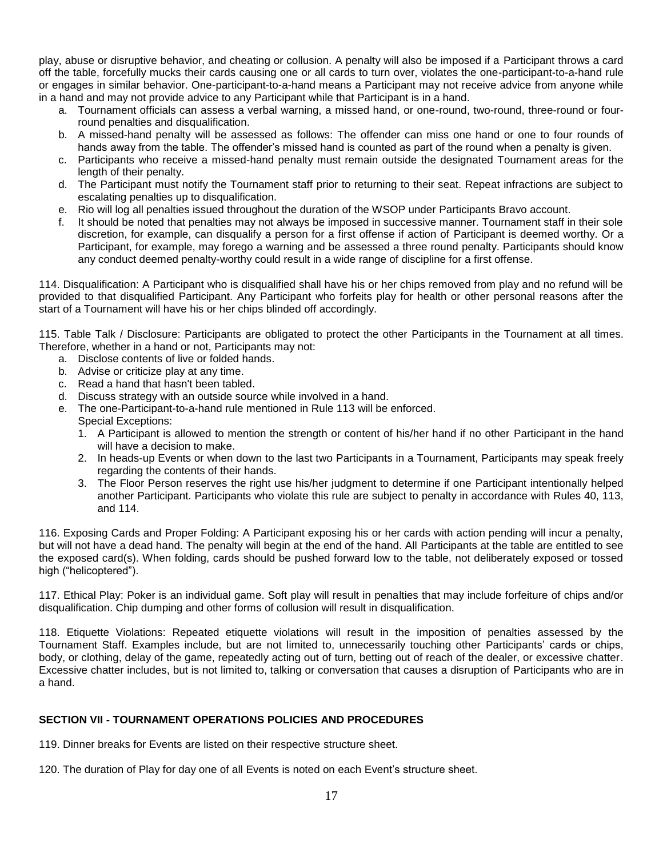play, abuse or disruptive behavior, and cheating or collusion. A penalty will also be imposed if a Participant throws a card off the table, forcefully mucks their cards causing one or all cards to turn over, violates the one-participant-to-a-hand rule or engages in similar behavior. One-participant-to-a-hand means a Participant may not receive advice from anyone while in a hand and may not provide advice to any Participant while that Participant is in a hand.

- a. Tournament officials can assess a verbal warning, a missed hand, or one-round, two-round, three-round or fourround penalties and disqualification.
- b. A missed-hand penalty will be assessed as follows: The offender can miss one hand or one to four rounds of hands away from the table. The offender's missed hand is counted as part of the round when a penalty is given.
- c. Participants who receive a missed-hand penalty must remain outside the designated Tournament areas for the length of their penalty.
- d. The Participant must notify the Tournament staff prior to returning to their seat. Repeat infractions are subject to escalating penalties up to disqualification.
- e. Rio will log all penalties issued throughout the duration of the WSOP under Participants Bravo account.
- f. It should be noted that penalties may not always be imposed in successive manner. Tournament staff in their sole discretion, for example, can disqualify a person for a first offense if action of Participant is deemed worthy. Or a Participant, for example, may forego a warning and be assessed a three round penalty. Participants should know any conduct deemed penalty-worthy could result in a wide range of discipline for a first offense.

114. Disqualification: A Participant who is disqualified shall have his or her chips removed from play and no refund will be provided to that disqualified Participant. Any Participant who forfeits play for health or other personal reasons after the start of a Tournament will have his or her chips blinded off accordingly.

115. Table Talk / Disclosure: Participants are obligated to protect the other Participants in the Tournament at all times. Therefore, whether in a hand or not, Participants may not:

- a. Disclose contents of live or folded hands.
- b. Advise or criticize play at any time.
- c. Read a hand that hasn't been tabled.
- d. Discuss strategy with an outside source while involved in a hand.
- e. The one-Participant-to-a-hand rule mentioned in Rule 113 will be enforced. Special Exceptions:
	- 1. A Participant is allowed to mention the strength or content of his/her hand if no other Participant in the hand will have a decision to make.
	- 2. In heads-up Events or when down to the last two Participants in a Tournament, Participants may speak freely regarding the contents of their hands.
	- 3. The Floor Person reserves the right use his/her judgment to determine if one Participant intentionally helped another Participant. Participants who violate this rule are subject to penalty in accordance with Rules 40, 113, and 114.

116. Exposing Cards and Proper Folding: A Participant exposing his or her cards with action pending will incur a penalty, but will not have a dead hand. The penalty will begin at the end of the hand. All Participants at the table are entitled to see the exposed card(s). When folding, cards should be pushed forward low to the table, not deliberately exposed or tossed high ("helicoptered").

117. Ethical Play: Poker is an individual game. Soft play will result in penalties that may include forfeiture of chips and/or disqualification. Chip dumping and other forms of collusion will result in disqualification.

118. Etiquette Violations: Repeated etiquette violations will result in the imposition of penalties assessed by the Tournament Staff. Examples include, but are not limited to, unnecessarily touching other Participants' cards or chips, body, or clothing, delay of the game, repeatedly acting out of turn, betting out of reach of the dealer, or excessive chatter. Excessive chatter includes, but is not limited to, talking or conversation that causes a disruption of Participants who are in a hand.

# **SECTION VII - TOURNAMENT OPERATIONS POLICIES AND PROCEDURES**

119. Dinner breaks for Events are listed on their respective structure sheet.

120. The duration of Play for day one of all Events is noted on each Event's structure sheet.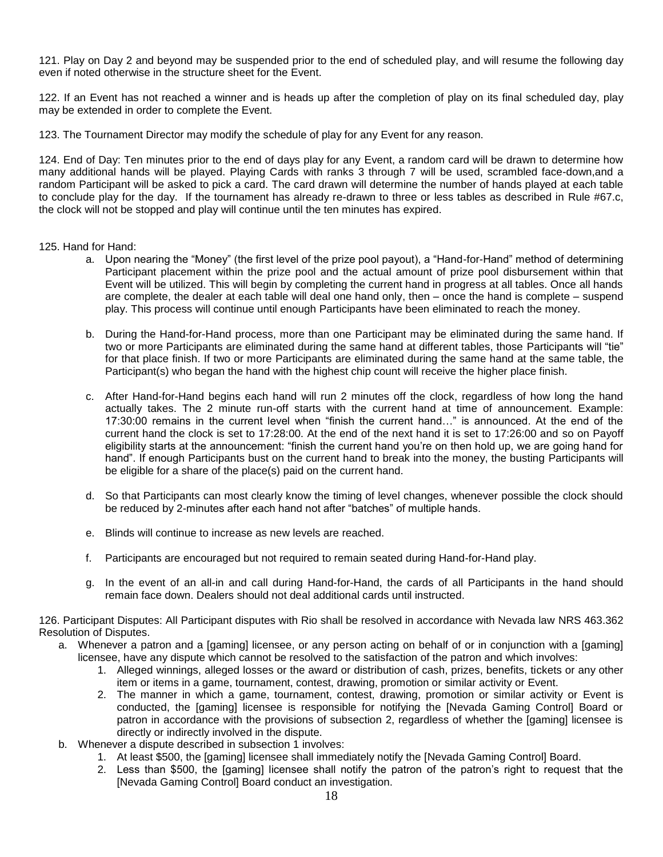121. Play on Day 2 and beyond may be suspended prior to the end of scheduled play, and will resume the following day even if noted otherwise in the structure sheet for the Event.

122. If an Event has not reached a winner and is heads up after the completion of play on its final scheduled day, play may be extended in order to complete the Event.

123. The Tournament Director may modify the schedule of play for any Event for any reason.

124. End of Day: Ten minutes prior to the end of days play for any Event, a random card will be drawn to determine how many additional hands will be played. Playing Cards with ranks 3 through 7 will be used, scrambled face-down,and a random Participant will be asked to pick a card. The card drawn will determine the number of hands played at each table to conclude play for the day. If the tournament has already re-drawn to three or less tables as described in Rule #67.c, the clock will not be stopped and play will continue until the ten minutes has expired.

125. Hand for Hand:

- a. Upon nearing the "Money" (the first level of the prize pool payout), a "Hand-for-Hand" method of determining Participant placement within the prize pool and the actual amount of prize pool disbursement within that Event will be utilized. This will begin by completing the current hand in progress at all tables. Once all hands are complete, the dealer at each table will deal one hand only, then – once the hand is complete – suspend play. This process will continue until enough Participants have been eliminated to reach the money.
- b. During the Hand-for-Hand process, more than one Participant may be eliminated during the same hand. If two or more Participants are eliminated during the same hand at different tables, those Participants will "tie" for that place finish. If two or more Participants are eliminated during the same hand at the same table, the Participant(s) who began the hand with the highest chip count will receive the higher place finish.
- c. After Hand-for-Hand begins each hand will run 2 minutes off the clock, regardless of how long the hand actually takes. The 2 minute run-off starts with the current hand at time of announcement. Example: 17:30:00 remains in the current level when "finish the current hand…" is announced. At the end of the current hand the clock is set to 17:28:00. At the end of the next hand it is set to 17:26:00 and so on Payoff eligibility starts at the announcement: "finish the current hand you're on then hold up, we are going hand for hand". If enough Participants bust on the current hand to break into the money, the busting Participants will be eligible for a share of the place(s) paid on the current hand.
- d. So that Participants can most clearly know the timing of level changes, whenever possible the clock should be reduced by 2-minutes after each hand not after "batches" of multiple hands.
- e. Blinds will continue to increase as new levels are reached.
- f. Participants are encouraged but not required to remain seated during Hand-for-Hand play.
- g. In the event of an all-in and call during Hand-for-Hand, the cards of all Participants in the hand should remain face down. Dealers should not deal additional cards until instructed.

126. Participant Disputes: All Participant disputes with Rio shall be resolved in accordance with Nevada law NRS 463.362 Resolution of Disputes.

- a. Whenever a patron and a [gaming] licensee, or any person acting on behalf of or in conjunction with a [gaming] licensee, have any dispute which cannot be resolved to the satisfaction of the patron and which involves:
	- 1. Alleged winnings, alleged losses or the award or distribution of cash, prizes, benefits, tickets or any other item or items in a game, tournament, contest, drawing, promotion or similar activity or Event.
	- 2. The manner in which a game, tournament, contest, drawing, promotion or similar activity or Event is conducted, the [gaming] licensee is responsible for notifying the [Nevada Gaming Control] Board or patron in accordance with the provisions of subsection 2, regardless of whether the [gaming] licensee is directly or indirectly involved in the dispute.
- b. Whenever a dispute described in subsection 1 involves:
	- 1. At least \$500, the [gaming] licensee shall immediately notify the [Nevada Gaming Control] Board.
	- 2. Less than \$500, the [gaming] licensee shall notify the patron of the patron's right to request that the [Nevada Gaming Control] Board conduct an investigation.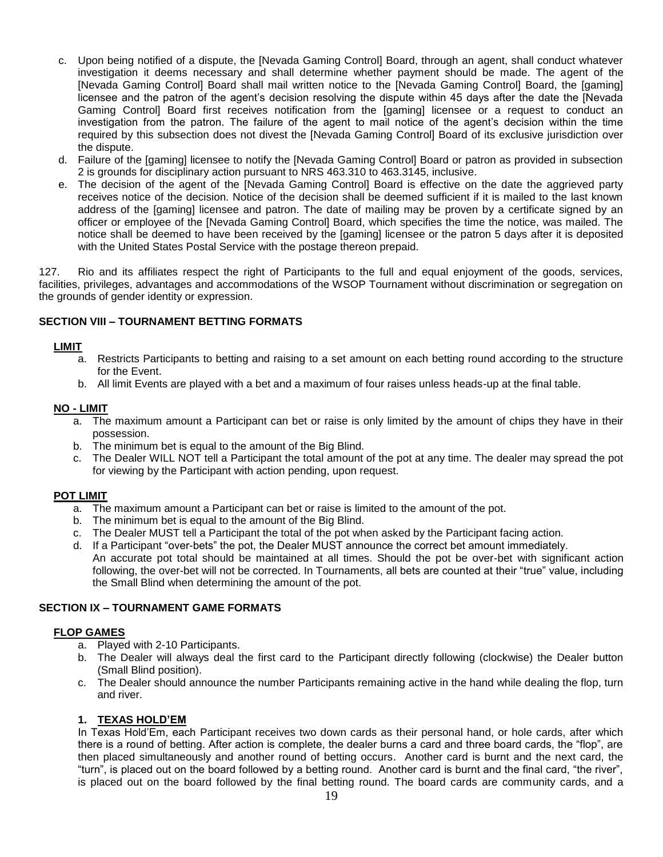- c. Upon being notified of a dispute, the [Nevada Gaming Control] Board, through an agent, shall conduct whatever investigation it deems necessary and shall determine whether payment should be made. The agent of the [Nevada Gaming Control] Board shall mail written notice to the [Nevada Gaming Control] Board, the [gaming] licensee and the patron of the agent's decision resolving the dispute within 45 days after the date the [Nevada Gaming Control] Board first receives notification from the [gaming] licensee or a request to conduct an investigation from the patron. The failure of the agent to mail notice of the agent's decision within the time required by this subsection does not divest the [Nevada Gaming Control] Board of its exclusive jurisdiction over the dispute.
- d. Failure of the [gaming] licensee to notify the [Nevada Gaming Control] Board or patron as provided in subsection 2 is grounds for disciplinary action pursuant to NRS 463.310 to 463.3145, inclusive.
- e. The decision of the agent of the [Nevada Gaming Control] Board is effective on the date the aggrieved party receives notice of the decision. Notice of the decision shall be deemed sufficient if it is mailed to the last known address of the [gaming] licensee and patron. The date of mailing may be proven by a certificate signed by an officer or employee of the [Nevada Gaming Control] Board, which specifies the time the notice, was mailed. The notice shall be deemed to have been received by the [gaming] licensee or the patron 5 days after it is deposited with the United States Postal Service with the postage thereon prepaid.

127. Rio and its affiliates respect the right of Participants to the full and equal enjoyment of the goods, services, facilities, privileges, advantages and accommodations of the WSOP Tournament without discrimination or segregation on the grounds of gender identity or expression.

# **SECTION VIII – TOURNAMENT BETTING FORMATS**

#### **LIMIT**

- a. Restricts Participants to betting and raising to a set amount on each betting round according to the structure for the Event.
- b. All limit Events are played with a bet and a maximum of four raises unless heads-up at the final table.

#### **NO - LIMIT**

- a. The maximum amount a Participant can bet or raise is only limited by the amount of chips they have in their possession.
- b. The minimum bet is equal to the amount of the Big Blind.
- c. The Dealer WILL NOT tell a Participant the total amount of the pot at any time. The dealer may spread the pot for viewing by the Participant with action pending, upon request.

#### **POT LIMIT**

- a. The maximum amount a Participant can bet or raise is limited to the amount of the pot.
- b. The minimum bet is equal to the amount of the Big Blind.
- c. The Dealer MUST tell a Participant the total of the pot when asked by the Participant facing action.
- d. If a Participant "over-bets" the pot, the Dealer MUST announce the correct bet amount immediately. An accurate pot total should be maintained at all times. Should the pot be over-bet with significant action following, the over-bet will not be corrected. In Tournaments, all bets are counted at their "true" value, including the Small Blind when determining the amount of the pot.

# **SECTION IX – TOURNAMENT GAME FORMATS**

#### **FLOP GAMES**

- a. Played with 2-10 Participants.
- b. The Dealer will always deal the first card to the Participant directly following (clockwise) the Dealer button (Small Blind position).
- c. The Dealer should announce the number Participants remaining active in the hand while dealing the flop, turn and river.

# **1. TEXAS HOLD'EM**

In Texas Hold'Em, each Participant receives two down cards as their personal hand, or hole cards, after which there is a round of betting. After action is complete, the dealer burns a card and three board cards, the "flop", are then placed simultaneously and another round of betting occurs. Another card is burnt and the next card, the "turn", is placed out on the board followed by a betting round. Another card is burnt and the final card, "the river", is placed out on the board followed by the final betting round. The board cards are community cards, and a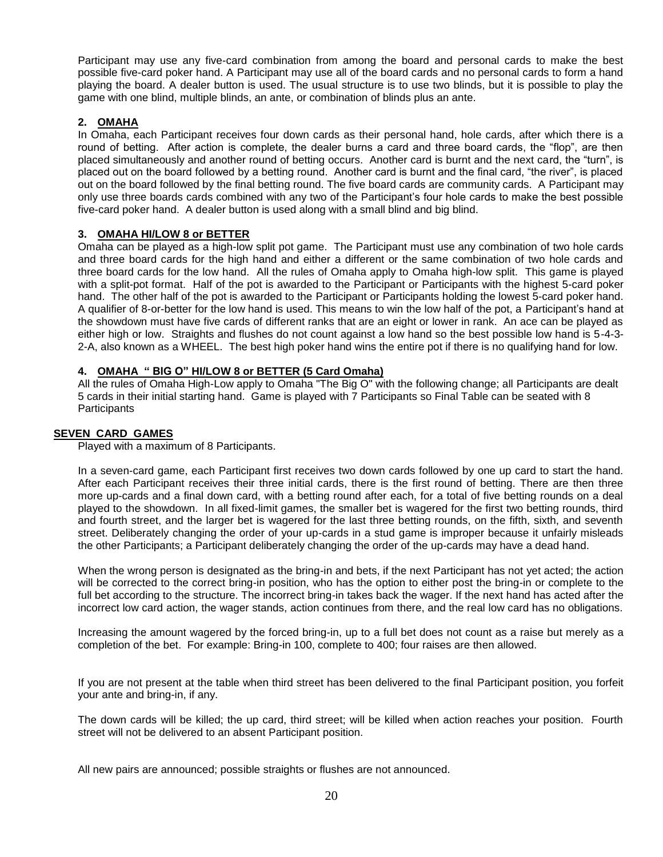Participant may use any five-card combination from among the board and personal cards to make the best possible five-card poker hand. A Participant may use all of the board cards and no personal cards to form a hand playing the board. A dealer button is used. The usual structure is to use two blinds, but it is possible to play the game with one blind, multiple blinds, an ante, or combination of blinds plus an ante.

# **2. OMAHA**

In Omaha, each Participant receives four down cards as their personal hand, hole cards, after which there is a round of betting. After action is complete, the dealer burns a card and three board cards, the "flop", are then placed simultaneously and another round of betting occurs. Another card is burnt and the next card, the "turn", is placed out on the board followed by a betting round. Another card is burnt and the final card, "the river", is placed out on the board followed by the final betting round. The five board cards are community cards. A Participant may only use three boards cards combined with any two of the Participant's four hole cards to make the best possible five-card poker hand. A dealer button is used along with a small blind and big blind.

#### **3. OMAHA HI/LOW 8 or BETTER**

Omaha can be played as a high-low split pot game. The Participant must use any combination of two hole cards and three board cards for the high hand and either a different or the same combination of two hole cards and three board cards for the low hand. All the rules of Omaha apply to Omaha high-low split. This game is played with a split-pot format. Half of the pot is awarded to the Participant or Participants with the highest 5-card poker hand. The other half of the pot is awarded to the Participant or Participants holding the lowest 5-card poker hand. A qualifier of 8-or-better for the low hand is used. This means to win the low half of the pot, a Participant's hand at the showdown must have five cards of different ranks that are an eight or lower in rank. An ace can be played as either high or low. Straights and flushes do not count against a low hand so the best possible low hand is 5-4-3- 2-A, also known as a WHEEL. The best high poker hand wins the entire pot if there is no qualifying hand for low.

#### **4. OMAHA " BIG O" HI/LOW 8 or BETTER (5 Card Omaha)**

All the rules of Omaha High-Low apply to Omaha "The Big O" with the following change; all Participants are dealt 5 cards in their initial starting hand. Game is played with 7 Participants so Final Table can be seated with 8 **Participants** 

#### **SEVEN CARD GAMES**

Played with a maximum of 8 Participants.

In a seven-card game, each Participant first receives two down cards followed by one up card to start the hand. After each Participant receives their three initial cards, there is the first round of betting. There are then three more up-cards and a final down card, with a betting round after each, for a total of five betting rounds on a deal played to the showdown. In all fixed-limit games, the smaller bet is wagered for the first two betting rounds, third and fourth street, and the larger bet is wagered for the last three betting rounds, on the fifth, sixth, and seventh street. Deliberately changing the order of your up-cards in a stud game is improper because it unfairly misleads the other Participants; a Participant deliberately changing the order of the up-cards may have a dead hand.

When the wrong person is designated as the bring-in and bets, if the next Participant has not yet acted; the action will be corrected to the correct bring-in position, who has the option to either post the bring-in or complete to the full bet according to the structure. The incorrect bring-in takes back the wager. If the next hand has acted after the incorrect low card action, the wager stands, action continues from there, and the real low card has no obligations.

Increasing the amount wagered by the forced bring-in, up to a full bet does not count as a raise but merely as a completion of the bet. For example: Bring-in 100, complete to 400; four raises are then allowed.

If you are not present at the table when third street has been delivered to the final Participant position, you forfeit your ante and bring-in, if any.

The down cards will be killed; the up card, third street; will be killed when action reaches your position. Fourth street will not be delivered to an absent Participant position.

All new pairs are announced; possible straights or flushes are not announced.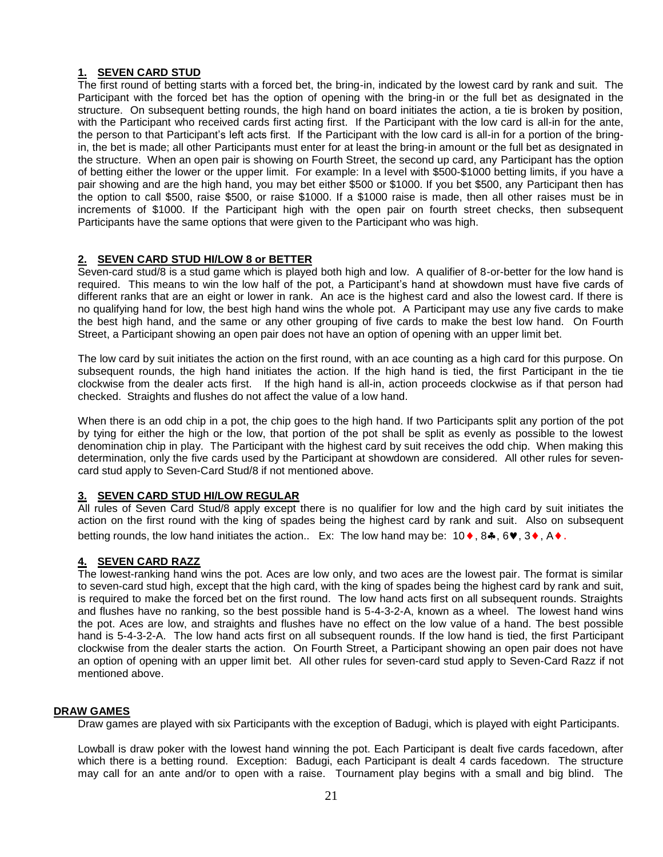# **1. SEVEN CARD STUD**

The first round of betting starts with a forced bet, the bring-in, indicated by the lowest card by rank and suit. The Participant with the forced bet has the option of opening with the bring-in or the full bet as designated in the structure. On subsequent betting rounds, the high hand on board initiates the action, a tie is broken by position, with the Participant who received cards first acting first. If the Participant with the low card is all-in for the ante, the person to that Participant's left acts first. If the Participant with the low card is all-in for a portion of the bringin, the bet is made; all other Participants must enter for at least the bring-in amount or the full bet as designated in the structure. When an open pair is showing on Fourth Street, the second up card, any Participant has the option of betting either the lower or the upper limit. For example: In a level with \$500-\$1000 betting limits, if you have a pair showing and are the high hand, you may bet either \$500 or \$1000. If you bet \$500, any Participant then has the option to call \$500, raise \$500, or raise \$1000. If a \$1000 raise is made, then all other raises must be in increments of \$1000. If the Participant high with the open pair on fourth street checks, then subsequent Participants have the same options that were given to the Participant who was high.

# **2. SEVEN CARD STUD HI/LOW 8 or BETTER**

Seven-card stud/8 is a stud game which is played both high and low. A qualifier of 8-or-better for the low hand is required. This means to win the low half of the pot, a Participant's hand at showdown must have five cards of different ranks that are an eight or lower in rank. An ace is the highest card and also the lowest card. If there is no qualifying hand for low, the best high hand wins the whole pot. A Participant may use any five cards to make the best high hand, and the same or any other grouping of five cards to make the best low hand. On Fourth Street, a Participant showing an open pair does not have an option of opening with an upper limit bet.

The low card by suit initiates the action on the first round, with an ace counting as a high card for this purpose. On subsequent rounds, the high hand initiates the action. If the high hand is tied, the first Participant in the tie clockwise from the dealer acts first. If the high hand is all-in, action proceeds clockwise as if that person had checked. Straights and flushes do not affect the value of a low hand.

When there is an odd chip in a pot, the chip goes to the high hand. If two Participants split any portion of the pot by tying for either the high or the low, that portion of the pot shall be split as evenly as possible to the lowest denomination chip in play. The Participant with the highest card by suit receives the odd chip. When making this determination, only the five cards used by the Participant at showdown are considered. All other rules for sevencard stud apply to Seven-Card Stud/8 if not mentioned above.

# **3. SEVEN CARD STUD HI/LOW REGULAR**

All rules of Seven Card Stud/8 apply except there is no qualifier for low and the high card by suit initiates the action on the first round with the king of spades being the highest card by rank and suit. Also on subsequent betting rounds, the low hand initiates the action.. Ex: The low hand may be:  $10 \bullet$ ,  $8 \clubsuit$ ,  $6 \blacktriangledown$ ,  $3 \blacklozenge$ ,  $A \blacklozenge$ .

# **4. SEVEN CARD RAZZ**

The lowest-ranking hand wins the pot. Aces are low only, and two aces are the lowest pair. The format is similar to seven-card stud high, except that the high card, with the king of spades being the highest card by rank and suit, is required to make the forced bet on the first round. The low hand acts first on all subsequent rounds. Straights and flushes have no ranking, so the best possible hand is 5-4-3-2-A, known as a wheel. The lowest hand wins the pot. Aces are low, and straights and flushes have no effect on the low value of a hand. The best possible hand is 5-4-3-2-A. The low hand acts first on all subsequent rounds. If the low hand is tied, the first Participant clockwise from the dealer starts the action. On Fourth Street, a Participant showing an open pair does not have an option of opening with an upper limit bet. All other rules for seven-card stud apply to Seven-Card Razz if not mentioned above.

# **DRAW GAMES**

Draw games are played with six Participants with the exception of Badugi, which is played with eight Participants.

Lowball is draw poker with the lowest hand winning the pot. Each Participant is dealt five cards facedown, after which there is a betting round. Exception: Badugi, each Participant is dealt 4 cards facedown. The structure may call for an ante and/or to open with a raise. Tournament play begins with a small and big blind. The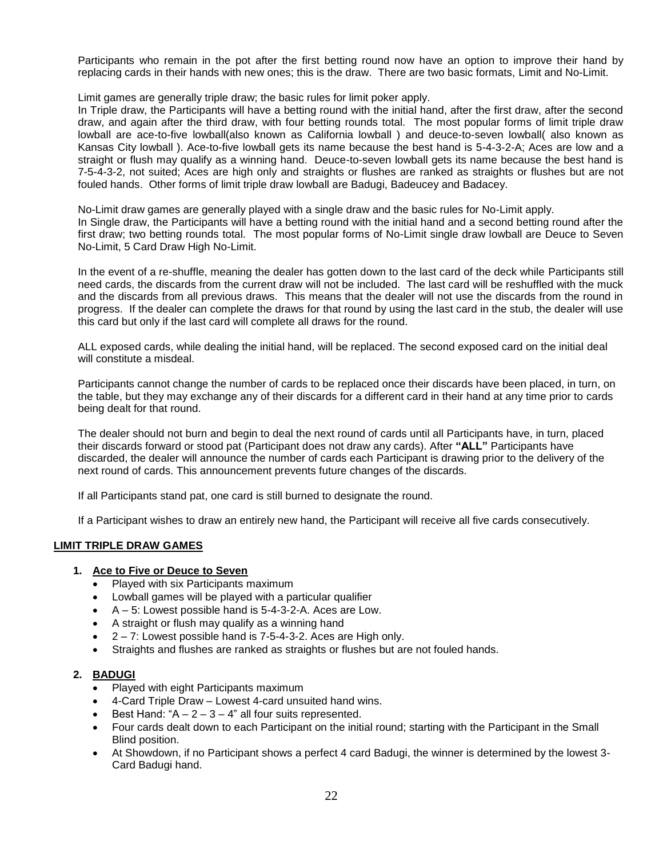Participants who remain in the pot after the first betting round now have an option to improve their hand by replacing cards in their hands with new ones; this is the draw. There are two basic formats, Limit and No-Limit.

Limit games are generally triple draw; the basic rules for limit poker apply.

In Triple draw, the Participants will have a betting round with the initial hand, after the first draw, after the second draw, and again after the third draw, with four betting rounds total. The most popular forms of limit triple draw lowball are ace-to-five lowball(also known as California lowball ) and deuce-to-seven lowball( also known as Kansas City lowball ). Ace-to-five lowball gets its name because the best hand is 5-4-3-2-A; Aces are low and a straight or flush may qualify as a winning hand. Deuce-to-seven lowball gets its name because the best hand is 7-5-4-3-2, not suited; Aces are high only and straights or flushes are ranked as straights or flushes but are not fouled hands. Other forms of limit triple draw lowball are Badugi, Badeucey and Badacey.

No-Limit draw games are generally played with a single draw and the basic rules for No-Limit apply. In Single draw, the Participants will have a betting round with the initial hand and a second betting round after the first draw; two betting rounds total. The most popular forms of No-Limit single draw lowball are Deuce to Seven No-Limit, 5 Card Draw High No-Limit.

In the event of a re-shuffle, meaning the dealer has gotten down to the last card of the deck while Participants still need cards, the discards from the current draw will not be included. The last card will be reshuffled with the muck and the discards from all previous draws. This means that the dealer will not use the discards from the round in progress. If the dealer can complete the draws for that round by using the last card in the stub, the dealer will use this card but only if the last card will complete all draws for the round.

ALL exposed cards, while dealing the initial hand, will be replaced. The second exposed card on the initial deal will constitute a misdeal.

Participants cannot change the number of cards to be replaced once their discards have been placed, in turn, on the table, but they may exchange any of their discards for a different card in their hand at any time prior to cards being dealt for that round.

The dealer should not burn and begin to deal the next round of cards until all Participants have, in turn, placed their discards forward or stood pat (Participant does not draw any cards). After **"ALL"** Participants have discarded, the dealer will announce the number of cards each Participant is drawing prior to the delivery of the next round of cards. This announcement prevents future changes of the discards.

If all Participants stand pat, one card is still burned to designate the round.

If a Participant wishes to draw an entirely new hand, the Participant will receive all five cards consecutively.

#### **LIMIT TRIPLE DRAW GAMES**

#### **1. Ace to Five or Deuce to Seven**

- **Played with six Participants maximum**
- Lowball games will be played with a particular qualifier
- A 5: Lowest possible hand is 5-4-3-2-A. Aces are Low.
- A straight or flush may qualify as a winning hand
- 2 7: Lowest possible hand is 7-5-4-3-2. Aces are High only.
- Straights and flushes are ranked as straights or flushes but are not fouled hands.

#### **2. BADUGI**

- Played with eight Participants maximum
- 4-Card Triple Draw Lowest 4-card unsuited hand wins.
- Best Hand: " $A 2 3 4$ " all four suits represented.
- Four cards dealt down to each Participant on the initial round; starting with the Participant in the Small Blind position.
- At Showdown, if no Participant shows a perfect 4 card Badugi, the winner is determined by the lowest 3- Card Badugi hand.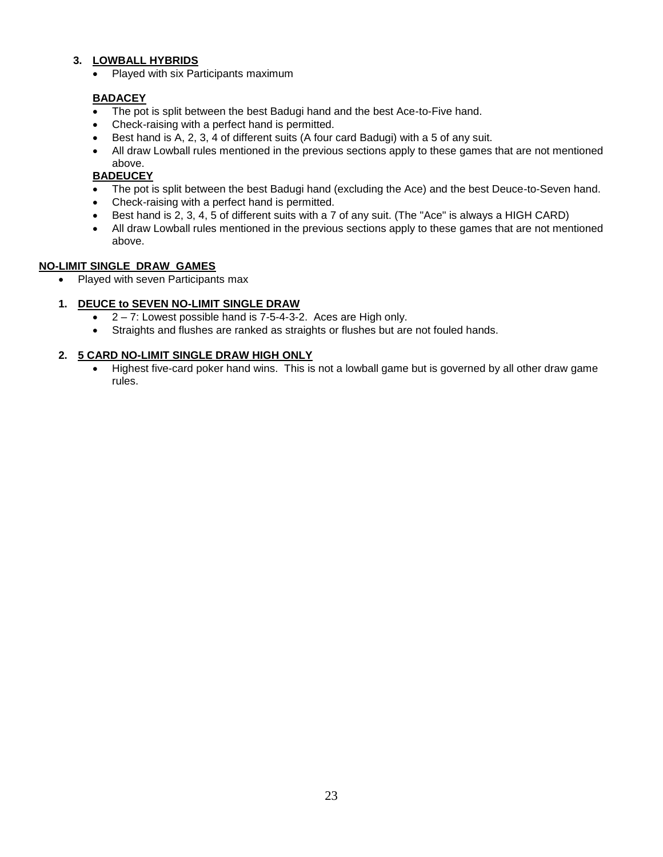# **3. LOWBALL HYBRIDS**

• Played with six Participants maximum

# **BADACEY**

- The pot is split between the best Badugi hand and the best Ace-to-Five hand.
- Check-raising with a perfect hand is permitted.
- Best hand is A, 2, 3, 4 of different suits (A four card Badugi) with a 5 of any suit.
- All draw Lowball rules mentioned in the previous sections apply to these games that are not mentioned above.

# **BADEUCEY**

- The pot is split between the best Badugi hand (excluding the Ace) and the best Deuce-to-Seven hand.
- Check-raising with a perfect hand is permitted.
- Best hand is 2, 3, 4, 5 of different suits with a 7 of any suit. (The "Ace" is always a HIGH CARD)
- All draw Lowball rules mentioned in the previous sections apply to these games that are not mentioned above.

# **NO-LIMIT SINGLE DRAW GAMES**

• Played with seven Participants max

# **1. DEUCE to SEVEN NO-LIMIT SINGLE DRAW**

- $\bullet$  2 7: Lowest possible hand is 7-5-4-3-2. Aces are High only.
- Straights and flushes are ranked as straights or flushes but are not fouled hands.

# **2. 5 CARD NO-LIMIT SINGLE DRAW HIGH ONLY**

• Highest five-card poker hand wins. This is not a lowball game but is governed by all other draw game rules.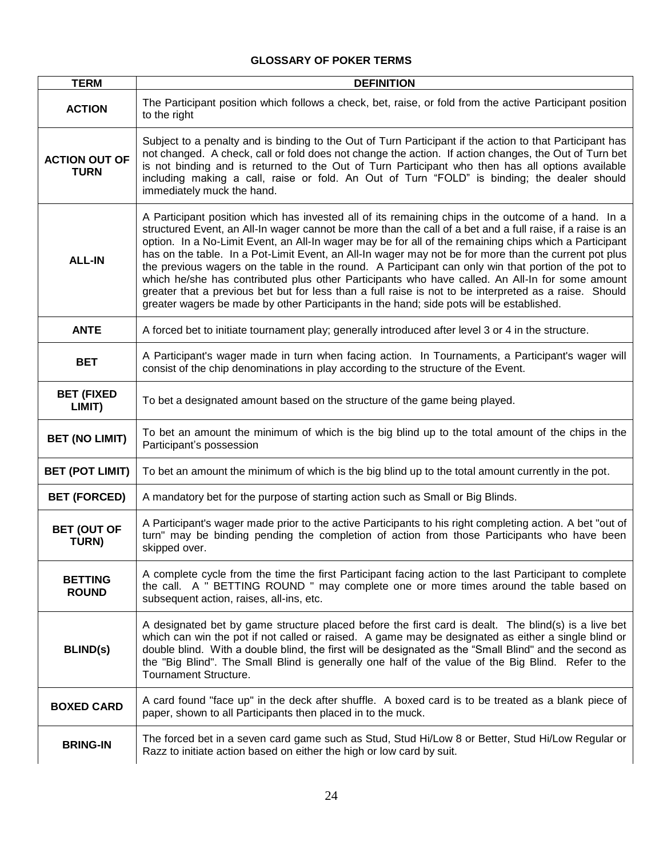# **GLOSSARY OF POKER TERMS**

| <b>TERM</b>                         | <b>DEFINITION</b>                                                                                                                                                                                                                                                                                                                                                                                                                                                                                                                                                                                                                                                                                                                                                                                                                                     |
|-------------------------------------|-------------------------------------------------------------------------------------------------------------------------------------------------------------------------------------------------------------------------------------------------------------------------------------------------------------------------------------------------------------------------------------------------------------------------------------------------------------------------------------------------------------------------------------------------------------------------------------------------------------------------------------------------------------------------------------------------------------------------------------------------------------------------------------------------------------------------------------------------------|
| <b>ACTION</b>                       | The Participant position which follows a check, bet, raise, or fold from the active Participant position<br>to the right                                                                                                                                                                                                                                                                                                                                                                                                                                                                                                                                                                                                                                                                                                                              |
| <b>ACTION OUT OF</b><br><b>TURN</b> | Subject to a penalty and is binding to the Out of Turn Participant if the action to that Participant has<br>not changed. A check, call or fold does not change the action. If action changes, the Out of Turn bet<br>is not binding and is returned to the Out of Turn Participant who then has all options available<br>including making a call, raise or fold. An Out of Turn "FOLD" is binding; the dealer should<br>immediately muck the hand.                                                                                                                                                                                                                                                                                                                                                                                                    |
| <b>ALL-IN</b>                       | A Participant position which has invested all of its remaining chips in the outcome of a hand. In a<br>structured Event, an All-In wager cannot be more than the call of a bet and a full raise, if a raise is an<br>option. In a No-Limit Event, an All-In wager may be for all of the remaining chips which a Participant<br>has on the table. In a Pot-Limit Event, an All-In wager may not be for more than the current pot plus<br>the previous wagers on the table in the round. A Participant can only win that portion of the pot to<br>which he/she has contributed plus other Participants who have called. An All-In for some amount<br>greater that a previous bet but for less than a full raise is not to be interpreted as a raise. Should<br>greater wagers be made by other Participants in the hand; side pots will be established. |
| <b>ANTE</b>                         | A forced bet to initiate tournament play; generally introduced after level 3 or 4 in the structure.                                                                                                                                                                                                                                                                                                                                                                                                                                                                                                                                                                                                                                                                                                                                                   |
| <b>BET</b>                          | A Participant's wager made in turn when facing action. In Tournaments, a Participant's wager will<br>consist of the chip denominations in play according to the structure of the Event.                                                                                                                                                                                                                                                                                                                                                                                                                                                                                                                                                                                                                                                               |
| <b>BET (FIXED</b><br>LIMIT)         | To bet a designated amount based on the structure of the game being played.                                                                                                                                                                                                                                                                                                                                                                                                                                                                                                                                                                                                                                                                                                                                                                           |
| <b>BET (NO LIMIT)</b>               | To bet an amount the minimum of which is the big blind up to the total amount of the chips in the<br>Participant's possession                                                                                                                                                                                                                                                                                                                                                                                                                                                                                                                                                                                                                                                                                                                         |
| <b>BET (POT LIMIT)</b>              | To bet an amount the minimum of which is the big blind up to the total amount currently in the pot.                                                                                                                                                                                                                                                                                                                                                                                                                                                                                                                                                                                                                                                                                                                                                   |
| <b>BET (FORCED)</b>                 | A mandatory bet for the purpose of starting action such as Small or Big Blinds.                                                                                                                                                                                                                                                                                                                                                                                                                                                                                                                                                                                                                                                                                                                                                                       |
| <b>BET (OUT OF</b><br>TURN)         | A Participant's wager made prior to the active Participants to his right completing action. A bet "out of<br>turn" may be binding pending the completion of action from those Participants who have been<br>skipped over.                                                                                                                                                                                                                                                                                                                                                                                                                                                                                                                                                                                                                             |
| <b>BETTING</b><br><b>ROUND</b>      | A complete cycle from the time the first Participant facing action to the last Participant to complete<br>the call. A " BETTING ROUND " may complete one or more times around the table based on<br>subsequent action, raises, all-ins, etc.                                                                                                                                                                                                                                                                                                                                                                                                                                                                                                                                                                                                          |
| <b>BLIND(s)</b>                     | A designated bet by game structure placed before the first card is dealt. The blind(s) is a live bet<br>which can win the pot if not called or raised. A game may be designated as either a single blind or<br>double blind. With a double blind, the first will be designated as the "Small Blind" and the second as<br>the "Big Blind". The Small Blind is generally one half of the value of the Big Blind. Refer to the<br>Tournament Structure.                                                                                                                                                                                                                                                                                                                                                                                                  |
| <b>BOXED CARD</b>                   | A card found "face up" in the deck after shuffle. A boxed card is to be treated as a blank piece of<br>paper, shown to all Participants then placed in to the muck.                                                                                                                                                                                                                                                                                                                                                                                                                                                                                                                                                                                                                                                                                   |
| <b>BRING-IN</b>                     | The forced bet in a seven card game such as Stud, Stud Hi/Low 8 or Better, Stud Hi/Low Regular or<br>Razz to initiate action based on either the high or low card by suit.                                                                                                                                                                                                                                                                                                                                                                                                                                                                                                                                                                                                                                                                            |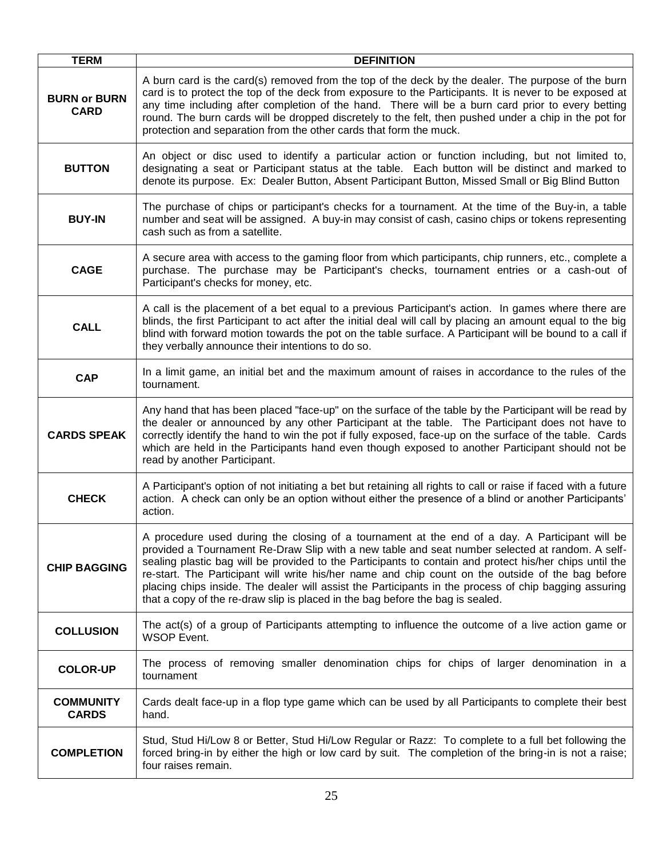| <b>TERM</b>                        | <b>DEFINITION</b>                                                                                                                                                                                                                                                                                                                                                                                                                                                                                                                                                                                            |
|------------------------------------|--------------------------------------------------------------------------------------------------------------------------------------------------------------------------------------------------------------------------------------------------------------------------------------------------------------------------------------------------------------------------------------------------------------------------------------------------------------------------------------------------------------------------------------------------------------------------------------------------------------|
| <b>BURN or BURN</b><br><b>CARD</b> | A burn card is the card(s) removed from the top of the deck by the dealer. The purpose of the burn<br>card is to protect the top of the deck from exposure to the Participants. It is never to be exposed at<br>any time including after completion of the hand. There will be a burn card prior to every betting<br>round. The burn cards will be dropped discretely to the felt, then pushed under a chip in the pot for<br>protection and separation from the other cards that form the muck.                                                                                                             |
| <b>BUTTON</b>                      | An object or disc used to identify a particular action or function including, but not limited to,<br>designating a seat or Participant status at the table. Each button will be distinct and marked to<br>denote its purpose. Ex: Dealer Button, Absent Participant Button, Missed Small or Big Blind Button                                                                                                                                                                                                                                                                                                 |
| <b>BUY-IN</b>                      | The purchase of chips or participant's checks for a tournament. At the time of the Buy-in, a table<br>number and seat will be assigned. A buy-in may consist of cash, casino chips or tokens representing<br>cash such as from a satellite.                                                                                                                                                                                                                                                                                                                                                                  |
| <b>CAGE</b>                        | A secure area with access to the gaming floor from which participants, chip runners, etc., complete a<br>purchase. The purchase may be Participant's checks, tournament entries or a cash-out of<br>Participant's checks for money, etc.                                                                                                                                                                                                                                                                                                                                                                     |
| <b>CALL</b>                        | A call is the placement of a bet equal to a previous Participant's action. In games where there are<br>blinds, the first Participant to act after the initial deal will call by placing an amount equal to the big<br>blind with forward motion towards the pot on the table surface. A Participant will be bound to a call if<br>they verbally announce their intentions to do so.                                                                                                                                                                                                                          |
| <b>CAP</b>                         | In a limit game, an initial bet and the maximum amount of raises in accordance to the rules of the<br>tournament.                                                                                                                                                                                                                                                                                                                                                                                                                                                                                            |
| <b>CARDS SPEAK</b>                 | Any hand that has been placed "face-up" on the surface of the table by the Participant will be read by<br>the dealer or announced by any other Participant at the table. The Participant does not have to<br>correctly identify the hand to win the pot if fully exposed, face-up on the surface of the table. Cards<br>which are held in the Participants hand even though exposed to another Participant should not be<br>read by another Participant.                                                                                                                                                     |
| <b>CHECK</b>                       | A Participant's option of not initiating a bet but retaining all rights to call or raise if faced with a future<br>action. A check can only be an option without either the presence of a blind or another Participants'<br>action.                                                                                                                                                                                                                                                                                                                                                                          |
| <b>CHIP BAGGING</b>                | A procedure used during the closing of a tournament at the end of a day. A Participant will be<br>provided a Tournament Re-Draw Slip with a new table and seat number selected at random. A self-<br>sealing plastic bag will be provided to the Participants to contain and protect his/her chips until the<br>re-start. The Participant will write his/her name and chip count on the outside of the bag before<br>placing chips inside. The dealer will assist the Participants in the process of chip bagging assuring<br>that a copy of the re-draw slip is placed in the bag before the bag is sealed. |
| <b>COLLUSION</b>                   | The act(s) of a group of Participants attempting to influence the outcome of a live action game or<br><b>WSOP Event.</b>                                                                                                                                                                                                                                                                                                                                                                                                                                                                                     |
| <b>COLOR-UP</b>                    | The process of removing smaller denomination chips for chips of larger denomination in a<br>tournament                                                                                                                                                                                                                                                                                                                                                                                                                                                                                                       |
| <b>COMMUNITY</b><br><b>CARDS</b>   | Cards dealt face-up in a flop type game which can be used by all Participants to complete their best<br>hand.                                                                                                                                                                                                                                                                                                                                                                                                                                                                                                |
| <b>COMPLETION</b>                  | Stud, Stud Hi/Low 8 or Better, Stud Hi/Low Regular or Razz: To complete to a full bet following the<br>forced bring-in by either the high or low card by suit. The completion of the bring-in is not a raise;<br>four raises remain.                                                                                                                                                                                                                                                                                                                                                                         |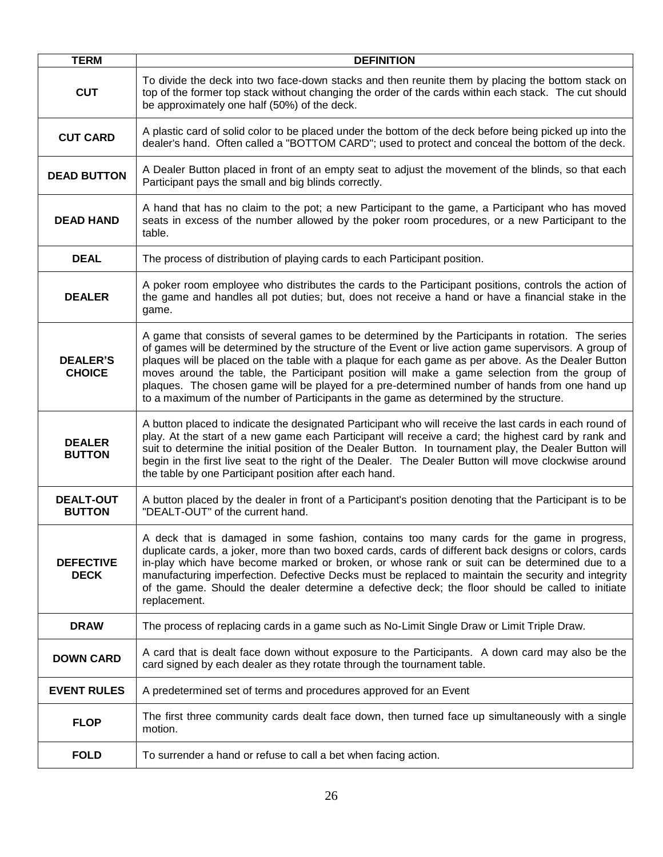| <b>TERM</b>                       | <b>DEFINITION</b>                                                                                                                                                                                                                                                                                                                                                                                                                                                                                                                                                                                             |
|-----------------------------------|---------------------------------------------------------------------------------------------------------------------------------------------------------------------------------------------------------------------------------------------------------------------------------------------------------------------------------------------------------------------------------------------------------------------------------------------------------------------------------------------------------------------------------------------------------------------------------------------------------------|
| <b>CUT</b>                        | To divide the deck into two face-down stacks and then reunite them by placing the bottom stack on<br>top of the former top stack without changing the order of the cards within each stack. The cut should<br>be approximately one half (50%) of the deck.                                                                                                                                                                                                                                                                                                                                                    |
| <b>CUT CARD</b>                   | A plastic card of solid color to be placed under the bottom of the deck before being picked up into the<br>dealer's hand. Often called a "BOTTOM CARD"; used to protect and conceal the bottom of the deck.                                                                                                                                                                                                                                                                                                                                                                                                   |
| <b>DEAD BUTTON</b>                | A Dealer Button placed in front of an empty seat to adjust the movement of the blinds, so that each<br>Participant pays the small and big blinds correctly.                                                                                                                                                                                                                                                                                                                                                                                                                                                   |
| <b>DEAD HAND</b>                  | A hand that has no claim to the pot; a new Participant to the game, a Participant who has moved<br>seats in excess of the number allowed by the poker room procedures, or a new Participant to the<br>table.                                                                                                                                                                                                                                                                                                                                                                                                  |
| <b>DEAL</b>                       | The process of distribution of playing cards to each Participant position.                                                                                                                                                                                                                                                                                                                                                                                                                                                                                                                                    |
| <b>DEALER</b>                     | A poker room employee who distributes the cards to the Participant positions, controls the action of<br>the game and handles all pot duties; but, does not receive a hand or have a financial stake in the<br>game.                                                                                                                                                                                                                                                                                                                                                                                           |
| <b>DEALER'S</b><br><b>CHOICE</b>  | A game that consists of several games to be determined by the Participants in rotation. The series<br>of games will be determined by the structure of the Event or live action game supervisors. A group of<br>plaques will be placed on the table with a plaque for each game as per above. As the Dealer Button<br>moves around the table, the Participant position will make a game selection from the group of<br>plaques. The chosen game will be played for a pre-determined number of hands from one hand up<br>to a maximum of the number of Participants in the game as determined by the structure. |
| <b>DEALER</b><br><b>BUTTON</b>    | A button placed to indicate the designated Participant who will receive the last cards in each round of<br>play. At the start of a new game each Participant will receive a card; the highest card by rank and<br>suit to determine the initial position of the Dealer Button. In tournament play, the Dealer Button will<br>begin in the first live seat to the right of the Dealer. The Dealer Button will move clockwise around<br>the table by one Participant position after each hand.                                                                                                                  |
| <b>DEALT-OUT</b><br><b>BUTTON</b> | A button placed by the dealer in front of a Participant's position denoting that the Participant is to be<br>"DEALT-OUT" of the current hand.                                                                                                                                                                                                                                                                                                                                                                                                                                                                 |
| <b>DEFECTIVE</b><br><b>DECK</b>   | A deck that is damaged in some fashion, contains too many cards for the game in progress,<br>duplicate cards, a joker, more than two boxed cards, cards of different back designs or colors, cards<br>in-play which have become marked or broken, or whose rank or suit can be determined due to a<br>manufacturing imperfection. Defective Decks must be replaced to maintain the security and integrity<br>of the game. Should the dealer determine a defective deck; the floor should be called to initiate<br>replacement.                                                                                |
| <b>DRAW</b>                       | The process of replacing cards in a game such as No-Limit Single Draw or Limit Triple Draw.                                                                                                                                                                                                                                                                                                                                                                                                                                                                                                                   |
| <b>DOWN CARD</b>                  | A card that is dealt face down without exposure to the Participants. A down card may also be the<br>card signed by each dealer as they rotate through the tournament table.                                                                                                                                                                                                                                                                                                                                                                                                                                   |
| <b>EVENT RULES</b>                | A predetermined set of terms and procedures approved for an Event                                                                                                                                                                                                                                                                                                                                                                                                                                                                                                                                             |
| <b>FLOP</b>                       | The first three community cards dealt face down, then turned face up simultaneously with a single<br>motion.                                                                                                                                                                                                                                                                                                                                                                                                                                                                                                  |
| <b>FOLD</b>                       | To surrender a hand or refuse to call a bet when facing action.                                                                                                                                                                                                                                                                                                                                                                                                                                                                                                                                               |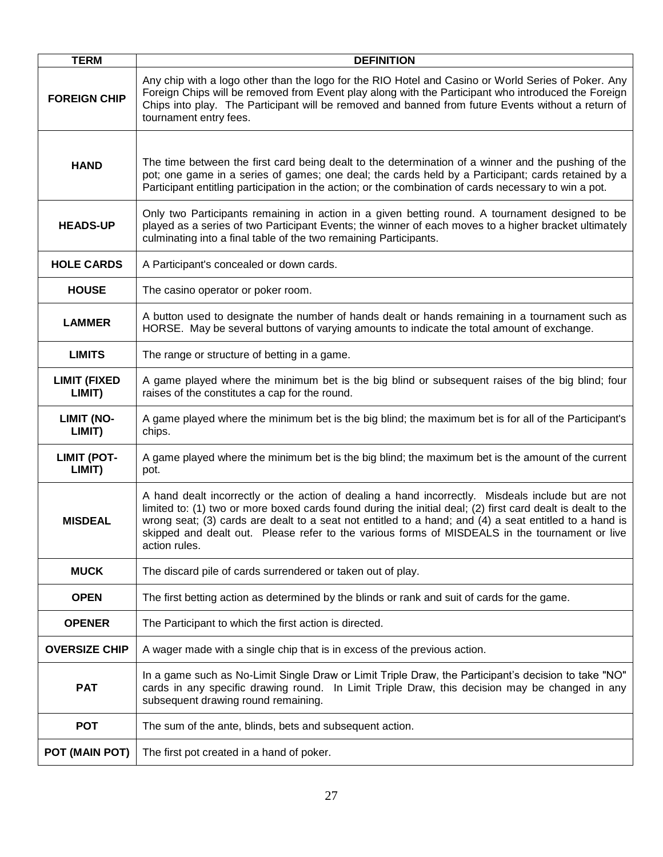| <b>TERM</b>                   | <b>DEFINITION</b>                                                                                                                                                                                                                                                                                                                                                                                                                              |
|-------------------------------|------------------------------------------------------------------------------------------------------------------------------------------------------------------------------------------------------------------------------------------------------------------------------------------------------------------------------------------------------------------------------------------------------------------------------------------------|
| <b>FOREIGN CHIP</b>           | Any chip with a logo other than the logo for the RIO Hotel and Casino or World Series of Poker. Any<br>Foreign Chips will be removed from Event play along with the Participant who introduced the Foreign<br>Chips into play. The Participant will be removed and banned from future Events without a return of<br>tournament entry fees.                                                                                                     |
| <b>HAND</b>                   | The time between the first card being dealt to the determination of a winner and the pushing of the<br>pot; one game in a series of games; one deal; the cards held by a Participant; cards retained by a<br>Participant entitling participation in the action; or the combination of cards necessary to win a pot.                                                                                                                            |
| <b>HEADS-UP</b>               | Only two Participants remaining in action in a given betting round. A tournament designed to be<br>played as a series of two Participant Events; the winner of each moves to a higher bracket ultimately<br>culminating into a final table of the two remaining Participants.                                                                                                                                                                  |
| <b>HOLE CARDS</b>             | A Participant's concealed or down cards.                                                                                                                                                                                                                                                                                                                                                                                                       |
| <b>HOUSE</b>                  | The casino operator or poker room.                                                                                                                                                                                                                                                                                                                                                                                                             |
| <b>LAMMER</b>                 | A button used to designate the number of hands dealt or hands remaining in a tournament such as<br>HORSE. May be several buttons of varying amounts to indicate the total amount of exchange.                                                                                                                                                                                                                                                  |
| <b>LIMITS</b>                 | The range or structure of betting in a game.                                                                                                                                                                                                                                                                                                                                                                                                   |
| <b>LIMIT (FIXED</b><br>LIMIT) | A game played where the minimum bet is the big blind or subsequent raises of the big blind; four<br>raises of the constitutes a cap for the round.                                                                                                                                                                                                                                                                                             |
| <b>LIMIT (NO-</b><br>LIMIT)   | A game played where the minimum bet is the big blind; the maximum bet is for all of the Participant's<br>chips.                                                                                                                                                                                                                                                                                                                                |
| <b>LIMIT (POT-</b><br>LIMIT)  | A game played where the minimum bet is the big blind; the maximum bet is the amount of the current<br>pot.                                                                                                                                                                                                                                                                                                                                     |
| <b>MISDEAL</b>                | A hand dealt incorrectly or the action of dealing a hand incorrectly. Misdeals include but are not<br>limited to: (1) two or more boxed cards found during the initial deal; (2) first card dealt is dealt to the<br>wrong seat; (3) cards are dealt to a seat not entitled to a hand; and (4) a seat entitled to a hand is<br>skipped and dealt out. Please refer to the various forms of MISDEALS in the tournament or live<br>action rules. |
| <b>MUCK</b>                   | The discard pile of cards surrendered or taken out of play.                                                                                                                                                                                                                                                                                                                                                                                    |
| <b>OPEN</b>                   | The first betting action as determined by the blinds or rank and suit of cards for the game.                                                                                                                                                                                                                                                                                                                                                   |
| <b>OPENER</b>                 | The Participant to which the first action is directed.                                                                                                                                                                                                                                                                                                                                                                                         |
| <b>OVERSIZE CHIP</b>          | A wager made with a single chip that is in excess of the previous action.                                                                                                                                                                                                                                                                                                                                                                      |
| <b>PAT</b>                    | In a game such as No-Limit Single Draw or Limit Triple Draw, the Participant's decision to take "NO"<br>cards in any specific drawing round. In Limit Triple Draw, this decision may be changed in any<br>subsequent drawing round remaining.                                                                                                                                                                                                  |
| <b>POT</b>                    | The sum of the ante, blinds, bets and subsequent action.                                                                                                                                                                                                                                                                                                                                                                                       |
| POT (MAIN POT)                | The first pot created in a hand of poker.                                                                                                                                                                                                                                                                                                                                                                                                      |